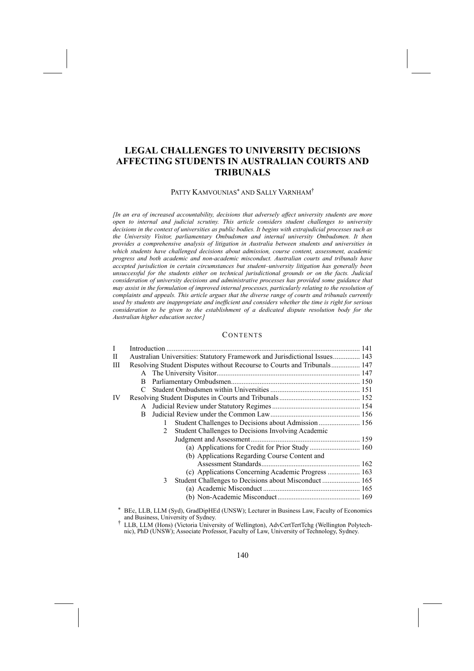# **LEGAL CHALLENGES TO UNIVERSITY DECISIONS AFFECTING STUDENTS IN AUSTRALIAN COURTS AND TRIBUNALS**

#### PATTY KAMVOUNIAS<sup>∗</sup> AND SALLY VARNHAM†

*[In an era of increased accountability, decisions that adversely affect university students are more open to internal and judicial scrutiny. This article considers student challenges to university decisions in the context of universities as public bodies. It begins with extrajudicial processes such as the University Visitor, parliamentary Ombudsmen and internal university Ombudsmen. It then provides a comprehensive analysis of litigation in Australia between students and universities in which students have challenged decisions about admission, course content, assessment, academic progress and both academic and non-academic misconduct. Australian courts and tribunals have accepted jurisdiction in certain circumstances but student–university litigation has generally been unsuccessful for the students either on technical jurisdictional grounds or on the facts. Judicial consideration of university decisions and administrative processes has provided some guidance that may assist in the formulation of improved internal processes, particularly relating to the resolution of complaints and appeals. This article argues that the diverse range of courts and tribunals currently used by students are inappropriate and inefficient and considers whether the time is right for serious consideration to be given to the establishment of a dedicated dispute resolution body for the Australian higher education sector.]* 

## **CONTENTS**

| L  |                                                                            |              |                                                                                                                                                                                                                               |  |
|----|----------------------------------------------------------------------------|--------------|-------------------------------------------------------------------------------------------------------------------------------------------------------------------------------------------------------------------------------|--|
| П  | Australian Universities: Statutory Framework and Jurisdictional Issues 143 |              |                                                                                                                                                                                                                               |  |
| Ш  | Resolving Student Disputes without Recourse to Courts and Tribunals 147    |              |                                                                                                                                                                                                                               |  |
|    |                                                                            |              |                                                                                                                                                                                                                               |  |
|    | B                                                                          |              |                                                                                                                                                                                                                               |  |
|    |                                                                            |              |                                                                                                                                                                                                                               |  |
| IV |                                                                            |              |                                                                                                                                                                                                                               |  |
|    |                                                                            |              |                                                                                                                                                                                                                               |  |
|    | B                                                                          |              |                                                                                                                                                                                                                               |  |
|    |                                                                            |              |                                                                                                                                                                                                                               |  |
|    |                                                                            | 2            | Student Challenges to Decisions Involving Academic                                                                                                                                                                            |  |
|    |                                                                            |              |                                                                                                                                                                                                                               |  |
|    |                                                                            |              |                                                                                                                                                                                                                               |  |
|    |                                                                            |              | (b) Applications Regarding Course Content and                                                                                                                                                                                 |  |
|    |                                                                            |              |                                                                                                                                                                                                                               |  |
|    |                                                                            |              | (c) Applications Concerning Academic Progress  163                                                                                                                                                                            |  |
|    |                                                                            | $\mathbf{3}$ |                                                                                                                                                                                                                               |  |
|    |                                                                            |              |                                                                                                                                                                                                                               |  |
|    |                                                                            |              |                                                                                                                                                                                                                               |  |
|    |                                                                            |              | TERM TELECORAL CHARGES AND THE U.S. AND THE U.S. AND THE U.S. AND THE U.S. AND THE U.S. AND THE U.S. AND THE U.S. AND THE U.S. AND THE U.S. AND THE U.S. AND THE U.S. AND THE U.S. AND THE U.S. AND THE U.S. AND THE U.S. AND |  |

BEc, LLB, LLM (Syd), GradDipHEd (UNSW); Lecturer in Business Law, Faculty of Economics and Business, University of Sydney.<br>
† LLB, LLM (Hons) (Victoria University of Wellington), AdvCertTertTchg (Wellington Polytech-

nic), PhD (UNSW); Associate Professor, Faculty of Law, University of Technology, Sydney.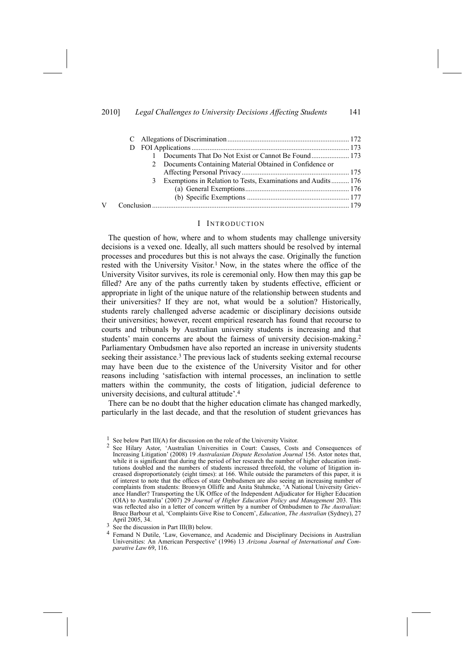#### 2010] *Legal Challenges to University Decisions Affecting Students* 141

| Documents That Do Not Exist or Cannot Be Found 173                |  |  |  |
|-------------------------------------------------------------------|--|--|--|
| 2 Documents Containing Material Obtained in Confidence or         |  |  |  |
|                                                                   |  |  |  |
| Exemptions in Relation to Tests, Examinations and Audits 176<br>3 |  |  |  |
|                                                                   |  |  |  |
|                                                                   |  |  |  |
|                                                                   |  |  |  |

#### I INTRODUCTION

The question of how, where and to whom students may challenge university decisions is a vexed one. Ideally, all such matters should be resolved by internal processes and procedures but this is not always the case. Originally the function rested with the University Visitor.<sup>1</sup> Now, in the states where the office of the University Visitor survives, its role is ceremonial only. How then may this gap be filled? Are any of the paths currently taken by students effective, efficient or appropriate in light of the unique nature of the relationship between students and their universities? If they are not, what would be a solution? Historically, students rarely challenged adverse academic or disciplinary decisions outside their universities; however, recent empirical research has found that recourse to courts and tribunals by Australian university students is increasing and that students' main concerns are about the fairness of university decision-making.2 Parliamentary Ombudsmen have also reported an increase in university students seeking their assistance.<sup>3</sup> The previous lack of students seeking external recourse may have been due to the existence of the University Visitor and for other reasons including 'satisfaction with internal processes, an inclination to settle matters within the community, the costs of litigation, judicial deference to university decisions, and cultural attitude'.4

There can be no doubt that the higher education climate has changed markedly, particularly in the last decade, and that the resolution of student grievances has

<sup>&</sup>lt;sup>1</sup> See below Part III(A) for discussion on the role of the University Visitor.

<sup>2</sup> See Hilary Astor, 'Australian Universities in Court: Causes, Costs and Consequences of Increasing Litigation' (2008) 19 *Australasian Dispute Resolution Journal* 156. Astor notes that, while it is significant that during the period of her research the number of higher education institutions doubled and the numbers of students increased threefold, the volume of litigation increased disproportionately (eight times): at 166. While outside the parameters of this paper, it is of interest to note that the offices of state Ombudsmen are also seeing an increasing number of complaints from students: Bronwyn Olliffe and Anita Stuhmcke, 'A National University Grievance Handler? Transporting the UK Office of the Independent Adjudicator for Higher Education (OIA) to Australia' (2007) 29 *Journal of Higher Education Policy and Management* 203. This was reflected also in a letter of concern written by a number of Ombudsmen to *The Australian*: Bruce Barbour et al, 'Complaints Give Rise to Concern', *Education*, *The Australian* (Sydney), 27

 $\frac{3}{3}$  See the discussion in Part III(B) below.

<sup>4</sup> Fernand N Dutile, 'Law, Governance, and Academic and Disciplinary Decisions in Australian Universities: An American Perspective' (1996) 13 *Arizona Journal of International and Comparative Law* 69, 116.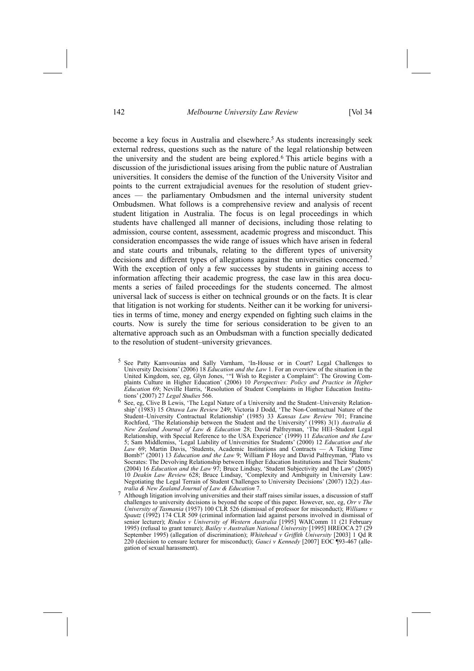become a key focus in Australia and elsewhere.<sup>5</sup> As students increasingly seek external redress, questions such as the nature of the legal relationship between the university and the student are being explored.6 This article begins with a discussion of the jurisdictional issues arising from the public nature of Australian universities. It considers the demise of the function of the University Visitor and points to the current extrajudicial avenues for the resolution of student grievances — the parliamentary Ombudsmen and the internal university student Ombudsmen. What follows is a comprehensive review and analysis of recent student litigation in Australia. The focus is on legal proceedings in which students have challenged all manner of decisions, including those relating to admission, course content, assessment, academic progress and misconduct. This consideration encompasses the wide range of issues which have arisen in federal and state courts and tribunals, relating to the different types of university decisions and different types of allegations against the universities concerned.<sup>7</sup> With the exception of only a few successes by students in gaining access to information affecting their academic progress, the case law in this area documents a series of failed proceedings for the students concerned. The almost universal lack of success is either on technical grounds or on the facts. It is clear that litigation is not working for students. Neither can it be working for universities in terms of time, money and energy expended on fighting such claims in the courts. Now is surely the time for serious consideration to be given to an alternative approach such as an Ombudsman with a function specially dedicated to the resolution of student–university grievances.

- 5 See Patty Kamvounias and Sally Varnham, 'In-House or in Court? Legal Challenges to University Decisions' (2006) 18 *Education and the Law* 1. For an overview of the situation in the United Kingdom, see, eg, Glyn Jones, '"I Wish to Register a Complaint": The Growing Complaints Culture in Higher Education' (2006) 10 *Perspectives: Policy and Practice in Higher Education* 69; Neville Harris, 'Resolution of Student Complaints in Higher Education Institutions' (2007) 27 *Legal Studies* 566.
- 6 See, eg, Clive B Lewis, 'The Legal Nature of a University and the Student–University Relationship' (1983) 15 *Ottawa Law Review* 249; Victoria J Dodd, 'The Non-Contractual Nature of the Student–University Contractual Relationship' (1985) 33 *Kansas Law Review* 701; Francine Rochford, 'The Relationship between the Student and the University' (1998) 3(1) *Australia & New Zealand Journal of Law & Education* 28; David Palfreyman, 'The HEI–Student Legal Relationship, with Special Reference to the USA Experience' (1999) 11 *Education and the Law* 5; Sam Middlemiss, 'Legal Liability of Universities for Students' (2000) 12 *Education and the Law* 69; Martin Davis, 'Students, Academic Institutions and Contracts — A Ticking Time Bomb?' (2001) 13 *Education and the Law* 9; William P Hoye and David Palfreyman, 'Plato vs Socrates: The Devolving Relationship between Higher Education Institutions and Their Students' (2004) 16 *Education and the Law* 97; Bruce Lindsay, 'Student Subjectivity and the Law' (2005) 10 *Deakin Law Review* 628; Bruce Lindsay, 'Complexity and Ambiguity in University Law: Negotiating the Legal Terrain of Student Challenges to University Decisions' (2007) 12(2) *Australia & New Zealand Journal of Law & Education* 7.
- <sup>7</sup> Although litigation involving universities and their staff raises similar issues, a discussion of staff  $\frac{1}{2}$ challenges to university decisions is beyond the scope of this paper. However, see, eg, *Orr v The University of Tasmania* (1957) 100 CLR 526 (dismissal of professor for misconduct); *Williams v Spautz* (1992) 174 CLR 509 (criminal information laid against persons involved in dismissal of senior lecturer); *Rindos v University of Western Australia* [1995] WAIComm 11 (21 February 1995) (refusal to grant tenure); *Bailey v Australian National University* [1995] HREOCA 27 (29 September 1995) (allegation of discrimination); *Whitehead v Griffith University* [2003] 1 Qd R 220 (decision to censure lecturer for misconduct); *Gauci v Kennedy* [2007] EOC ¶93-467 (allegation of sexual harassment).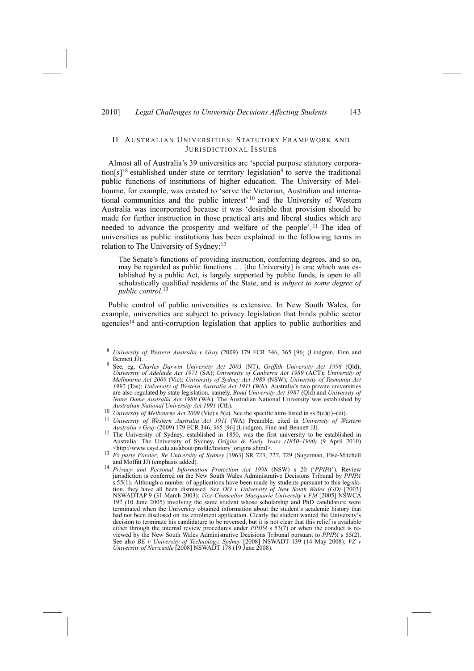## 2010] *Legal Challenges to University Decisions Affecting Students* 143

## II AUSTRALIAN UNIVERSITIES: STATUTORY FRAMEWORK AND JURISDICTIONAL ISSUES

Almost all of Australia's 39 universities are 'special purpose statutory corporation[s]'8 established under state or territory legislation9 to serve the traditional public functions of institutions of higher education. The University of Melbourne, for example, was created to 'serve the Victorian, Australian and international communities and the public interest' 10 and the University of Western Australia was incorporated because it was 'desirable that provision should be made for further instruction in those practical arts and liberal studies which are needed to advance the prosperity and welfare of the people'. 11 The idea of universities as public institutions has been explained in the following terms in relation to The University of Sydney:12

The Senate's functions of providing instruction, conferring degrees, and so on, may be regarded as public functions … [the University] is one which was established by a public Act, is largely supported by public funds, is open to all scholastically qualified residents of the State, and is *subject to some degree of public control*. 13

Public control of public universities is extensive. In New South Wales, for example, universities are subject to privacy legislation that binds public sector agencies14 and anti-corruption legislation that applies to public authorities and

- Australian National University Act 1991 (Cth).<br>
<sup>10</sup> University of Melbourne Act 2009 (Vic) s 5(e). See the specific aims listed in ss 5(e)(i)–(iii).<br>
<sup>11</sup> University of Western Australia Act 1911 (WA) Preamble, cited in U
- *Australia v Gray* (2009) 179 FCR 346, 365 [96] (Lindgren, Finn and Bennett JJ).<br><sup>12</sup> The University of Sydney, established in 1850, was the first university to be established in Australia: The University of Sydney, *Origins & Early Years (1850–1900)* (9 April 2010) <http://www.usyd.edu.au/about/profile/history\_origins.shtml>. 13 *Ex parte Forster; Re University of Sydney* [1963] SR 723, 727, 729 (Sugerman, Else-Mitchell
- <sup>13</sup> *Ex parte Forster; Re University of Sydney* [1963] SR 723, 727, 729 (Sugerman, Else-Mitchell and Moffitt JJ) (emphasis added).<br><sup>14</sup> *Privacy and Personal Information Protection Act 1998* (NSW) s 20 ('*PPIPA*'). Review
- jurisdiction is conferred on the New South Wales Administrative Decisions Tribunal by *PPIPA* s 55(1). Although a number of applications have been made by students pursuant to this legislation, they have all been dismissed. See *DO v University of New South Wales (GD)* [2003] NSWADTAP 9 (31 March 2003); *Vice-Chancellor Macquarie University v FM* [2005] NSWCA 192 (10 June 2005) involving the same student whose scholarship and PhD candidature were terminated when the University obtained information about the student's academic history that had not been disclosed on his enrolment application. Clearly the student wanted the University's decision to terminate his candidature to be reversed, but it is not clear that this relief is available either through the internal review procedures under *PPIPA* s 53(7) or when the conduct is reviewed by the New South Wales Administrative Decisions Tribunal pursuant to *PPIPA* s 55(2). See also *BE v University of Technology, Sydney* [2008] NSWADT 139 (14 May 2008); *VZ v University of Newcastle* [2008] NSWADT 178 (19 June 2008).

<sup>8</sup> *University of Western Australia v Gray* (2009) 179 FCR 346, 365 [96] (Lindgren, Finn and Bennett JJ). 9 See, eg, *Charles Darwin University Act <sup>2003</sup>* (NT); *Griffith University Act <sup>1998</sup>* (Qld);

*University of Adelaide Act 1971* (SA); *University of Canberra Act 1989* (ACT); *University of Melbourne Act 2009* (Vic); *University of Sydney Act 1989* (NSW); *University of Tasmania Act 1992* (Tas); *University of Western Australia Act 1911* (WA). Australia's two private universities are also regulated by state legislation, namely, *Bond University Act 1987* (Qld) and *University of Notre Dame Australia Act 1989* (WA). The Australian National University was established by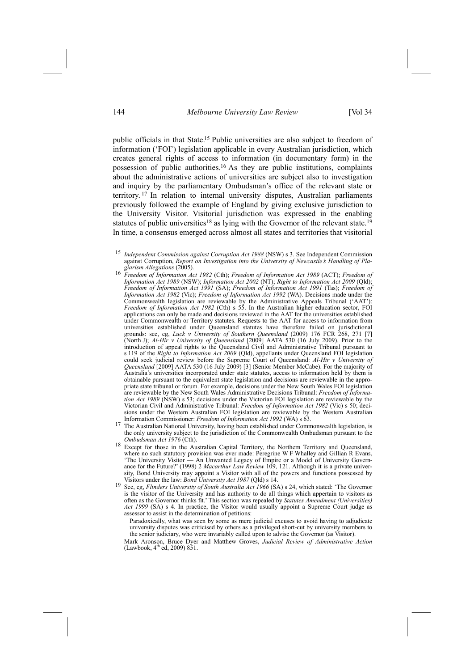public officials in that State.15 Public universities are also subject to freedom of information ('FOI') legislation applicable in every Australian jurisdiction, which creates general rights of access to information (in documentary form) in the possession of public authorities.16 As they are public institutions, complaints about the administrative actions of universities are subject also to investigation and inquiry by the parliamentary Ombudsman's office of the relevant state or territory. 17 In relation to internal university disputes, Australian parliaments previously followed the example of England by giving exclusive jurisdiction to the University Visitor. Visitorial jurisdiction was expressed in the enabling statutes of public universities<sup>18</sup> as lying with the Governor of the relevant state.<sup>19</sup> In time, a consensus emerged across almost all states and territories that visitorial

- *giarism Allegations* (2005). 16 *Freedom of Information Act <sup>1982</sup>* (Cth); *Freedom of Information Act <sup>1989</sup>* (ACT); *Freedom of Information Act 1989* (NSW); *Information Act 2002* (NT); *Right to Information Act 2009* (Qld); *Freedom of Information Act 1991* (SA); *Freedom of Information Act 1991* (Tas); *Freedom of Information Act 1982* (Vic); *Freedom of Information Act 1992* (WA). Decisions made under the Commonwealth legislation are reviewable by the Administrative Appeals Tribunal ('AAT'): *Freedom of Information Act 1982* (Cth) s 55. In the Australian higher education sector, FOI applications can only be made and decisions reviewed in the AAT for the universities established under Commonwealth or Territory statutes. Requests to the AAT for access to information from universities established under Queensland statutes have therefore failed on jurisdictional grounds: see, eg, *Luck v University of Southern Queensland* (2009) 176 FCR 268, 271 [7] (North J); *Al-Hir v University of Queensland* [2009] AATA 530 (16 July 2009). Prior to the introduction of appeal rights to the Queensland Civil and Administrative Tribunal pursuant to s 119 of the *Right to Information Act 2009* (Qld), appellants under Queensland FOI legislation could seek judicial review before the Supreme Court of Queensland: *Al-Hir v University of Queensland* [2009] AATA 530 (16 July 2009) [3] (Senior Member McCabe). For the majority of Australia's universities incorporated under state statutes, access to information held by them is obtainable pursuant to the equivalent state legislation and decisions are reviewable in the appropriate state tribunal or forum. For example, decisions under the New South Wales FOI legislation are reviewable by the New South Wales Administrative Decisions Tribunal: *Freedom of Information Act 1989* (NSW) s 53; decisions under the Victorian FOI legislation are reviewable by the Victorian Civil and Administrative Tribunal: *Freedom of Information Act 1982* (Vic) s 50; decisions under the Western Australian FOI legislation are reviewable by the Western Australian Information Commissioner: *Freedom of Information Act 1992* (WA) s 63.
- Information Commissioner: *Freedom of Information Act <sup>1992</sup>* (WA) s 63. 17 The Australian National University, having been established under Commonwealth legislation, is the only university subject to the jurisdiction of the Commonwealth Ombudsman pursuant to the *Ombudsman Act 1976* (Cth).
- Except for those in the Australian Capital Territory, the Northern Territory and Queensland, where no such statutory provision was ever made: Peregrine W F Whalley and Gillian R Evans, 'The University Visitor — An Unwanted Legacy of Empire or a Model of University Governance for the Future?' (1998) 2 *Macarthur Law Review* 109, 121. Although it is a private university, Bond University may appoint a Visitor with all of the powers and functions possessed by Visitors under the law: *Bond University Act 1987* (Qld)  $s$  14.
- See, eg, Flinders University of South Australia Act 1966 (SA) s 24, which stated: 'The Governor is the visitor of the University and has authority to do all things which appertain to visitors as often as the Governor thinks fit.' This section was repealed by *Statutes Amendment (Universities) Act 1999* (SA) s 4. In practice, the Visitor would usually appoint a Supreme Court judge as assessor to assist in the determination of petitions:
	- Paradoxically, what was seen by some as mere judicial excuses to avoid having to adjudicate university disputes was criticised by others as a privileged short-cut by university members to the senior judiciary, who were invariably called upon to advise the Governor (as Visitor).

 Mark Aronson, Bruce Dyer and Matthew Groves, *Judicial Review of Administrative Action* (Lawbook, 4<sup>th</sup> ed, 2009) 851.

<sup>15</sup> *Independent Commission against Corruption Act 1988* (NSW) s 3. See Independent Commission against Corruption, *Report on Investigation into the University of Newcastle's Handling of Pla-*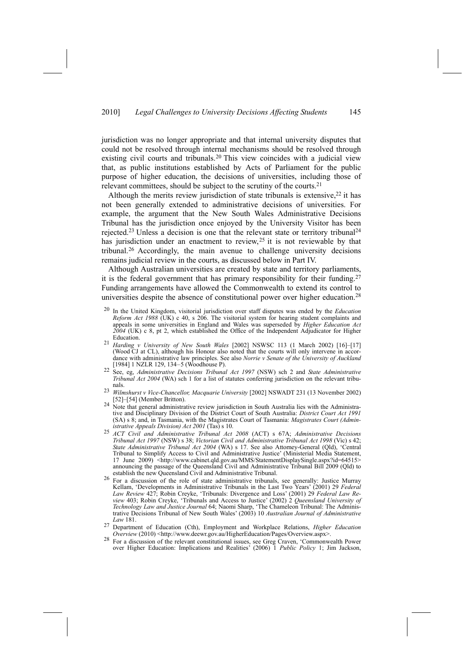jurisdiction was no longer appropriate and that internal university disputes that could not be resolved through internal mechanisms should be resolved through existing civil courts and tribunals.<sup>20</sup> This view coincides with a judicial view that, as public institutions established by Acts of Parliament for the public purpose of higher education, the decisions of universities, including those of relevant committees, should be subject to the scrutiny of the courts.21

Although the merits review jurisdiction of state tribunals is extensive,<sup>22</sup> it has not been generally extended to administrative decisions of universities. For example, the argument that the New South Wales Administrative Decisions Tribunal has the jurisdiction once enjoyed by the University Visitor has been rejected.23 Unless a decision is one that the relevant state or territory tribunal24 has jurisdiction under an enactment to review,25 it is not reviewable by that tribunal.26 Accordingly, the main avenue to challenge university decisions remains judicial review in the courts, as discussed below in Part IV.

Although Australian universities are created by state and territory parliaments, it is the federal government that has primary responsibility for their funding.<sup>27</sup> Funding arrangements have allowed the Commonwealth to extend its control to universities despite the absence of constitutional power over higher education.28

- 20 In the United Kingdom, visitorial jurisdiction over staff disputes was ended by the *Education Reform Act 1988* (UK) c 40, s 206. The visitorial system for hearing student complaints and appeals in some universities in England and Wales was superseded by *Higher Education Act 2004* (UK) c 8, pt 2, which established the Office of the Independent Adjudicator for Higher Education.
- <sup>21</sup> *Harding v University of New South Wales* [2002] NSWSC 113 (1 March 2002) [16]–[17] (Wood CJ at CL), although his Honour also noted that the courts will only intervene in accordance with administrative law principles. See also *Norrie v Senate of the University of Auckland*
- [1984] 1 NZLR 129, 134–5 (Woodhouse P). 22 See, eg, *Administrative Decisions Tribunal Act <sup>1997</sup>* (NSW) sch 2 and *State Administrative Tribunal Act 2004* (WA) sch 1 for a list of statutes conferring jurisdiction on the relevant tribunals.
- <sup>23</sup> *Wilmshurst v Vice-Chancellor, Macquarie University* [2002] NSWADT 231 (13 November 2002) [52]–[54] (Member Britton).<br><sup>24</sup> Note that general administrative review jurisdiction in South Australia lies with the Administra-
- tive and Disciplinary Division of the District Court of South Australia: *District Court Act 1991* (SA) s 8; and, in Tasmania, with the Magistrates Court of Tasmania: *Magistrates Court (Admin-*
- <sup>25</sup> ACT Civil and Administrative Tribunal Act 2008 (ACT) s 67A; Administrative Decisions *Tribunal Act 1997* (NSW) s 38; *Victorian Civil and Administrative Tribunal Act 1998* (Vic) s 42; *State Administrative Tribunal Act 2004* (WA) s 17. See also Attorney-General (Qld), 'Central Tribunal to Simplify Access to Civil and Administrative Justice' (Ministerial Media Statement, 17 June 2009) <http://www.cabinet.qld.gov.au/MMS/StatementDisplaySingle.aspx?id=64515> announcing the passage of the Queensland Civil and Administrative Tribunal Bill 2009 (Qld) to establish the new Queensland Civil and Administrative Tribunal.
- 26 For a discussion of the role of state administrative tribunals, see generally: Justice Murray Kellam, 'Developments in Administrative Tribunals in the Last Two Years' (2001) 29 *Federal Law Review* 427; Robin Creyke, 'Tribunals: Divergence and Loss' (2001) 29 *Federal Law Review* 403; Robin Creyke, 'Tribunals and Access to Justice' (2002) 2 *Queensland University of Technology Law and Justice Journal* 64; Naomi Sharp, 'The Chameleon Tribunal: The Administrative Decisions Tribunal of New South Wales' (2003) 10 *Australian Journal of Administrative Law* 181.
- 27 Department of Education (Cth), Employment and Workplace Relations, *Higher Education Overview* (2010) <http://www.deewr.gov.au/HigherEducation/Pages/Overview.aspx>. 28 For a discussion of the relevant constitutional issues, see Greg Craven, 'Commonwealth Power
- over Higher Education: Implications and Realities' (2006) 1 *Public Policy* 1; Jim Jackson,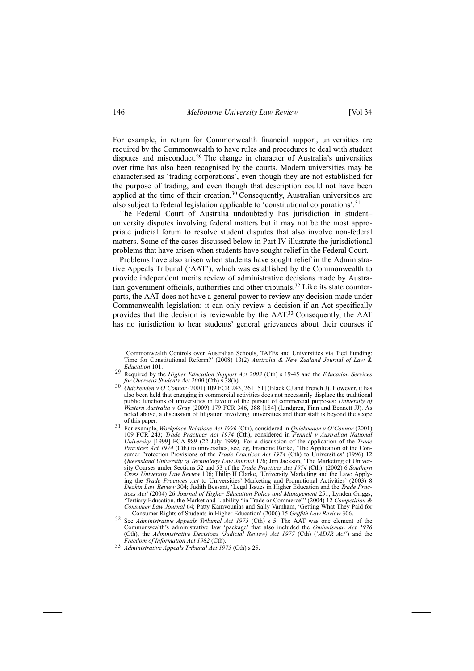For example, in return for Commonwealth financial support, universities are required by the Commonwealth to have rules and procedures to deal with student disputes and misconduct.29 The change in character of Australia's universities over time has also been recognised by the courts. Modern universities may be characterised as 'trading corporations', even though they are not established for the purpose of trading, and even though that description could not have been applied at the time of their creation.30 Consequently, Australian universities are also subject to federal legislation applicable to 'constitutional corporations'.31

The Federal Court of Australia undoubtedly has jurisdiction in student– university disputes involving federal matters but it may not be the most appropriate judicial forum to resolve student disputes that also involve non-federal matters. Some of the cases discussed below in Part IV illustrate the jurisdictional problems that have arisen when students have sought relief in the Federal Court.

Problems have also arisen when students have sought relief in the Administrative Appeals Tribunal ('AAT'), which was established by the Commonwealth to provide independent merits review of administrative decisions made by Australian government officials, authorities and other tribunals.<sup>32</sup> Like its state counterparts, the AAT does not have a general power to review any decision made under Commonwealth legislation; it can only review a decision if an Act specifically provides that the decision is reviewable by the AAT.33 Consequently, the AAT has no jurisdiction to hear students' general grievances about their courses if

- 29 Required by the *Higher Education Support Act 2003* (Cth) s 19-45 and the *Education Services for Overseas Students Act* 2000 (Cth) s 38(b).  $\frac{30}{2}$  *Quickenden v O'Connor* (2001) 109 FCR 243, 261 [51] (Black CJ and French J). However, it has
- also been held that engaging in commercial activities does not necessarily displace the traditional public functions of universities in favour of the pursuit of commercial purposes: *University of Western Australia v Gray* (2009) 179 FCR 346, 388 [184] (Lindgren, Finn and Bennett JJ). As noted above, a discussion of litigation involving universities and their staff is beyond the scope
- of this paper. 31 For example, *Workplace Relations Act <sup>1996</sup>* (Cth), considered in *Quickenden <sup>v</sup> O'Connor* (2001) 109 FCR 243; *Trade Practices Act 1974* (Cth), considered in *Fennell v Australian National University* [1999] FCA 989 (22 July 1999). For a discussion of the application of the *Trade Practices Act 1974* (Cth) to universities, see, eg, Francine Rorke, 'The Application of the Consumer Protection Provisions of the *Trade Practices Act 1974* (Cth) to Universities' (1996) 12 *Queensland University of Technology Law Journal* 176; Jim Jackson, 'The Marketing of University Courses under Sections 52 and 53 of the *Trade Practices Act 1974* (Cth)' (2002) 6 *Southern Cross University Law Review* 106; Philip H Clarke, 'University Marketing and the Law: Applying the *Trade Practices Act* to Universities' Marketing and Promotional Activities' (2003) 8 *Deakin Law Review* 304; Judith Bessant, 'Legal Issues in Higher Education and the *Trade Practices Act*' (2004) 26 *Journal of Higher Education Policy and Management* 251; Lynden Griggs, 'Tertiary Education, the Market and Liability "in Trade or Commerce"' (2004) 12 *Competition & Consumer Law Journal* 64; Patty Kamvounias and Sally Varnham, 'Getting What They Paid for — Consumer Rights of Students in Higher Education' (2006) 15 *Griffith Law Review* 306.
- 32 See *Administrative Appeals Tribunal Act 1975* (Cth) s 5. The AAT was one element of the Commonwealth's administrative law 'package' that also included the *Ombudsman Act 1976* (Cth), the *Administrative Decisions (Judicial Review) Act 1977* (Cth) ('*ADJR Act*') and the
- *Freedom of Information Act <sup>1982</sup>* (Cth). 33 *Administrative Appeals Tribunal Act <sup>1975</sup>* (Cth) s 25.

<sup>&#</sup>x27;Commonwealth Controls over Australian Schools, TAFEs and Universities via Tied Funding: Time for Constitutional Reform?' (2008) 13(2) *Australia & New Zealand Journal of Law & Education* 101.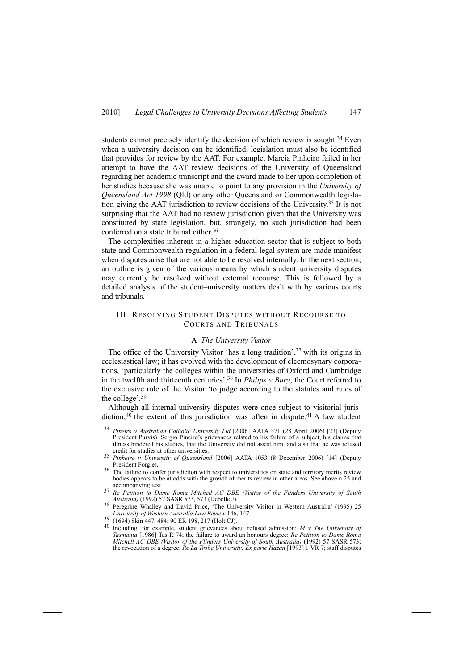students cannot precisely identify the decision of which review is sought.<sup>34</sup> Even when a university decision can be identified, legislation must also be identified that provides for review by the AAT. For example, Marcia Pinheiro failed in her attempt to have the AAT review decisions of the University of Queensland regarding her academic transcript and the award made to her upon completion of her studies because she was unable to point to any provision in the *University of Queensland Act 1998* (Qld) or any other Queensland or Commonwealth legislation giving the AAT jurisdiction to review decisions of the University.35 It is not surprising that the AAT had no review jurisdiction given that the University was constituted by state legislation, but, strangely, no such jurisdiction had been conferred on a state tribunal either.<sup>36</sup>

The complexities inherent in a higher education sector that is subject to both state and Commonwealth regulation in a federal legal system are made manifest when disputes arise that are not able to be resolved internally. In the next section, an outline is given of the various means by which student–university disputes may currently be resolved without external recourse. This is followed by a detailed analysis of the student–university matters dealt with by various courts and tribunals.

## III RESOLVING STUDENT DISPUTES WITHOUT RECOURSE TO COURTS AND TRIBUNALS

#### A *The University Visitor*

The office of the University Visitor 'has a long tradition',  $37$  with its origins in ecclesiastical law; it has evolved with the development of eleemosynary corporations, 'particularly the colleges within the universities of Oxford and Cambridge in the twelfth and thirteenth centuries'.38 In *Philips v Bury*, the Court referred to the exclusive role of the Visitor 'to judge according to the statutes and rules of the college'.39

Although all internal university disputes were once subject to visitorial jurisdiction, $40$  the extent of this jurisdiction was often in dispute.<sup>41</sup> A law student

- <sup>34</sup> *Pineiro v Australian Catholic University Ltd* [2006] AATA 371 (28 April 2006) [23] (Deputy President Purvis). Sergio Pineiro's grievances related to his failure of a subject, his claims that illness hindered his studies, that the University did not assist him, and also that he was refused credit for studies at other universities.
- <sup>35</sup> *Pinheiro v University of Queensland* [2006] AATA 1053 (8 December 2006) [14] (Deputy
- <sup>36</sup> The failure to confer jurisdiction with respect to universities on state and territory merits review bodies appears to be at odds with the growth of merits review in other areas. See above n 25 and
- accompanying text. 37 *Re Petition to Dame Roma Mitchell AC DBE (Visitor of the Flinders University of South*
- <sup>38</sup> Peregrine Whalley and David Price, 'The University Visitor in Western Australia' (1995) 25 *University of Western Australia Law Review* 146, 147.
- 
- 39 (1694) Skin 447, 484; 90 ER 198, 217 (Holt CJ). 40 Including, for example, student grievances about refused admission: *<sup>M</sup> <sup>v</sup> The University of Tasmania* [1986] Tas R 74; the failure to award an honours degree: *Re Petition to Dame Roma Mitchell AC DBE (Visitor of the Flinders University of South Australia)* (1992) 57 SASR 573; the revocation of a degree: *Re La Trobe University; Ex parte Hazan* [1993] 1 VR 7; staff disputes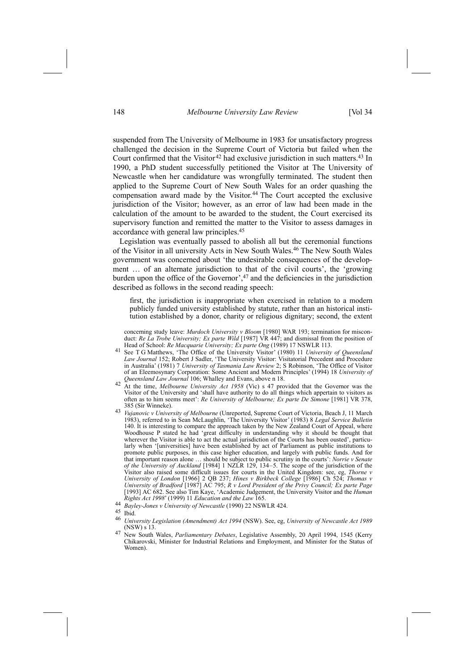suspended from The University of Melbourne in 1983 for unsatisfactory progress challenged the decision in the Supreme Court of Victoria but failed when the Court confirmed that the Visitor<sup>42</sup> had exclusive jurisdiction in such matters.<sup>43</sup> In 1990, a PhD student successfully petitioned the Visitor at The University of Newcastle when her candidature was wrongfully terminated. The student then applied to the Supreme Court of New South Wales for an order quashing the compensation award made by the Visitor.<sup>44</sup> The Court accepted the exclusive jurisdiction of the Visitor; however, as an error of law had been made in the calculation of the amount to be awarded to the student, the Court exercised its supervisory function and remitted the matter to the Visitor to assess damages in accordance with general law principles.45

Legislation was eventually passed to abolish all but the ceremonial functions of the Visitor in all university Acts in New South Wales.46 The New South Wales government was concerned about 'the undesirable consequences of the development … of an alternate jurisdiction to that of the civil courts', the 'growing burden upon the office of the Governor',<sup>47</sup> and the deficiencies in the jurisdiction described as follows in the second reading speech:

first, the jurisdiction is inappropriate when exercised in relation to a modern publicly funded university established by statute, rather than an historical institution established by a donor, charity or religious dignitary; second, the extent

concerning study leave: *Murdoch University v Bloom* [1980] WAR 193; termination for misconduct: *Re La Trobe University; Ex parte Wild* [1987] VR 447; and dismissal from the position of Head of School: Re Macquarie University; Ex parte Ong (1989) 17 NSWLR 113.<br><sup>41</sup> See T G Matthews, 'The Office of the University Visitor' (1980) 11 University of Queensland

- *Law Journal* 152; Robert J Sadler, 'The University Visitor: Visitatorial Precedent and Procedure in Australia' (1981) 7 *University of Tasmania Law Review* 2; S Robinson, 'The Office of Visitor of an Eleemosynary Corporation: Some Ancient and Modern Principles' (1994) 18 *University of Queensland Law Journal* 106; Whalley and Evans, above n 18. 42 At the time, *Melbourne University Act* 1958 (Vic) s 47 provided that the Governor was the
- Visitor of the University and 'shall have authority to do all things which appertain to visitors as often as to him seems meet': *Re University of Melbourne; Ex parte De Simone* [1981] VR 378, 385 (Sir Winneke). 43 *Vujanovic <sup>v</sup> University of Melbourne* (Unreported, Supreme Court of Victoria, Beach J, 11 March
- 1983), referred to in Sean McLaughlin, 'The University Visitor' (1983) 8 *Legal Service Bulletin* 140. It is interesting to compare the approach taken by the New Zealand Court of Appeal, where Woodhouse P stated he had 'great difficulty in understanding why it should be thought that wherever the Visitor is able to act the actual jurisdiction of the Courts has been ousted', particularly when '[universities] have been established by act of Parliament as public institutions to promote public purposes, in this case higher education, and largely with public funds. And for that important reason alone … should be subject to public scrutiny in the courts': *Norrie v Senate of the University of Auckland* [1984] 1 NZLR 129, 134–5. The scope of the jurisdiction of the Visitor also raised some difficult issues for courts in the United Kingdom: see, eg, *Thorne v University of London* [1966] 2 QB 237; *Hines v Birkbeck College* [1986] Ch 524; *Thomas v University of Bradford* [1987] AC 795; *R v Lord President of the Privy Council; Ex parte Page* [1993] AC 682. See also Tim Kaye, 'Academic Judgement, the University Visitor and the *Human Rights Act 1998*' (1999) 11 *Education and the Law* 165.
- <sup>44</sup> *Bayley-Jones <sup>v</sup> University of Newcastle* (1990) 22 NSWLR 424. 45 Ibid.
- 
- <sup>46</sup> *University Legislation (Amendment) Act 1994* (NSW). See, eg, *University of Newcastle Act 1989*
- (NSW) s 13. 47 New South Wales, *Parliamentary Debates*, Legislative Assembly, 20 April 1994, 1545 (Kerry Chikarovski, Minister for Industrial Relations and Employment, and Minister for the Status of Women).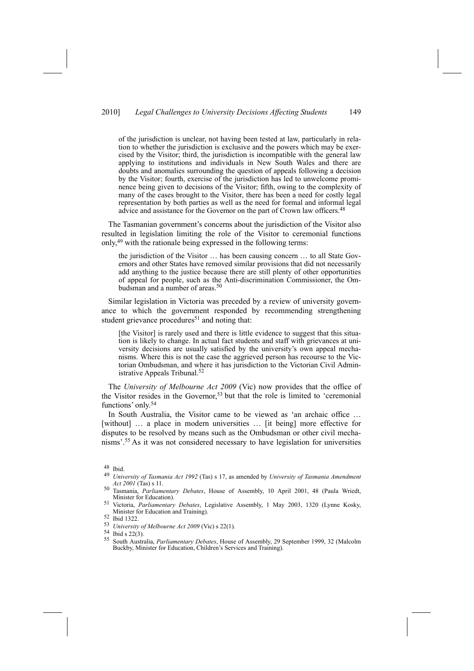## 2010] *Legal Challenges to University Decisions Affecting Students* 149

of the jurisdiction is unclear, not having been tested at law, particularly in relation to whether the jurisdiction is exclusive and the powers which may be exercised by the Visitor; third, the jurisdiction is incompatible with the general law applying to institutions and individuals in New South Wales and there are doubts and anomalies surrounding the question of appeals following a decision by the Visitor; fourth, exercise of the jurisdiction has led to unwelcome prominence being given to decisions of the Visitor; fifth, owing to the complexity of many of the cases brought to the Visitor, there has been a need for costly legal representation by both parties as well as the need for formal and informal legal advice and assistance for the Governor on the part of Crown law officers.<sup>48</sup>

The Tasmanian government's concerns about the jurisdiction of the Visitor also resulted in legislation limiting the role of the Visitor to ceremonial functions only,49 with the rationale being expressed in the following terms:

the jurisdiction of the Visitor … has been causing concern … to all State Governors and other States have removed similar provisions that did not necessarily add anything to the justice because there are still plenty of other opportunities of appeal for people, such as the Anti-discrimination Commissioner, the Ombudsman and a number of areas.<sup>50</sup>

Similar legislation in Victoria was preceded by a review of university governance to which the government responded by recommending strengthening student grievance procedures<sup>51</sup> and noting that:

[the Visitor] is rarely used and there is little evidence to suggest that this situation is likely to change. In actual fact students and staff with grievances at university decisions are usually satisfied by the university's own appeal mechanisms. Where this is not the case the aggrieved person has recourse to the Victorian Ombudsman, and where it has jurisdiction to the Victorian Civil Administrative Appeals Tribunal.52

The *University of Melbourne Act 2009* (Vic) now provides that the office of the Visitor resides in the Governor,<sup>53</sup> but that the role is limited to 'ceremonial functions' only.<sup>54</sup>

In South Australia, the Visitor came to be viewed as 'an archaic office … [without] … a place in modern universities … [it being] more effective for disputes to be resolved by means such as the Ombudsman or other civil mechanisms'.55 As it was not considered necessary to have legislation for universities

<sup>48</sup> Ibid.

<sup>49</sup> *University of Tasmania Act 1992* (Tas) s 17, as amended by *University of Tasmania Amendment*

<sup>&</sup>lt;sup>50</sup> Tasmania, *Parliamentary Debates*, House of Assembly, 10 April 2001, 48 (Paula Wriedt, Minister for Education). 51 Victoria, *Parliamentary Debates*, Legislative Assembly, 1 May 2003, 1320 (Lynne Kosky,

Minister for Education and Training). 52 Ibid 1322.

<sup>53</sup> *University of Melbourne Act 2009* (Vic) s 22(1).<br>54 Ibid s 22(3).<br>55 Santh Australia *Barliamantary Delestes* Hause

<sup>55</sup> South Australia, *Parliamentary Debates*, House of Assembly, 29 September 1999, 32 (Malcolm Buckby, Minister for Education, Children's Services and Training).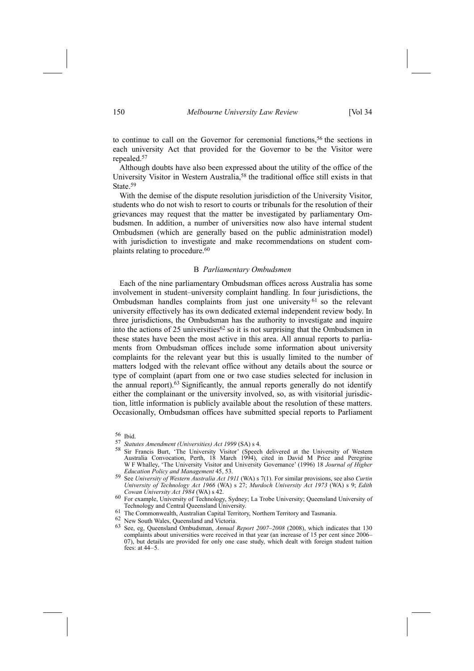to continue to call on the Governor for ceremonial functions,<sup>56</sup> the sections in each university Act that provided for the Governor to be the Visitor were repealed.57

Although doubts have also been expressed about the utility of the office of the University Visitor in Western Australia,58 the traditional office still exists in that State<sup>59</sup>

With the demise of the dispute resolution jurisdiction of the University Visitor, students who do not wish to resort to courts or tribunals for the resolution of their grievances may request that the matter be investigated by parliamentary Ombudsmen. In addition, a number of universities now also have internal student Ombudsmen (which are generally based on the public administration model) with jurisdiction to investigate and make recommendations on student complaints relating to procedure.<sup>60</sup>

#### B *Parliamentary Ombudsmen*

Each of the nine parliamentary Ombudsman offices across Australia has some involvement in student–university complaint handling. In four jurisdictions, the Ombudsman handles complaints from just one university 61 so the relevant university effectively has its own dedicated external independent review body. In three jurisdictions, the Ombudsman has the authority to investigate and inquire into the actions of 25 universities  $62$  so it is not surprising that the Ombudsmen in these states have been the most active in this area. All annual reports to parliaments from Ombudsman offices include some information about university complaints for the relevant year but this is usually limited to the number of matters lodged with the relevant office without any details about the source or type of complaint (apart from one or two case studies selected for inclusion in the annual report).63 Significantly, the annual reports generally do not identify either the complainant or the university involved, so, as with visitorial jurisdiction, little information is publicly available about the resolution of these matters. Occasionally, Ombudsman offices have submitted special reports to Parliament

- 57 *Statutes Amendment (Universities) <i>Act* 1999 (SA) s 4.<br><sup>58</sup> Sir Francis Burt, 'The University Visitor' (Speech delivered at the University of Western Australia Convocation, Perth, 18 March 1994), cited in David M Price and Peregrine W F Whalley, 'The University Visitor and University Governance' (1996) 18 *Journal of Higher Education Policy and Management* 45, 53.
- 59 See *University of Western Australia Act 1911* (WA) s 7(1). For similar provisions, see also *Curtin University of Technology Act 1966* (WA) s 27; *Murdoch University Act 1973* (WA) s 9; *Edith*
- <sup>60</sup> For example, University of Technology, Sydney; La Trobe University; Queensland University of Technology and Central Queensland University.
- $61$  The Commonwealth, Australian Capital Territory, Northern Territory and Tasmania.  $62$  New South Wales, Queensland and Victoria.
- 
- 63 See, eg, Queensland Ombudsman, *Annual Report 2007–2008* (2008), which indicates that 130 complaints about universities were received in that year (an increase of 15 per cent since 2006– 07), but details are provided for only one case study, which dealt with foreign student tuition fees: at 44–5.

 $\frac{56}{57}$  Ibid.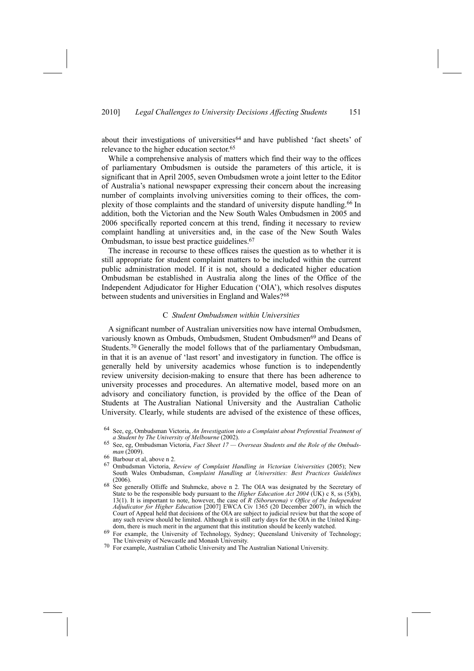about their investigations of universities<sup>64</sup> and have published 'fact sheets' of relevance to the higher education sector.<sup>65</sup>

While a comprehensive analysis of matters which find their way to the offices of parliamentary Ombudsmen is outside the parameters of this article, it is significant that in April 2005, seven Ombudsmen wrote a joint letter to the Editor of Australia's national newspaper expressing their concern about the increasing number of complaints involving universities coming to their offices, the complexity of those complaints and the standard of university dispute handling.66 In addition, both the Victorian and the New South Wales Ombudsmen in 2005 and 2006 specifically reported concern at this trend, finding it necessary to review complaint handling at universities and, in the case of the New South Wales Ombudsman, to issue best practice guidelines.67

The increase in recourse to these offices raises the question as to whether it is still appropriate for student complaint matters to be included within the current public administration model. If it is not, should a dedicated higher education Ombudsman be established in Australia along the lines of the Office of the Independent Adjudicator for Higher Education ('OIA'), which resolves disputes between students and universities in England and Wales?<sup>68</sup>

## C *Student Ombudsmen within Universities*

A significant number of Australian universities now have internal Ombudsmen, variously known as Ombuds, Ombudsmen, Student Ombudsmen<sup>69</sup> and Deans of Students.<sup>70</sup> Generally the model follows that of the parliamentary Ombudsman, in that it is an avenue of 'last resort' and investigatory in function. The office is generally held by university academics whose function is to independently review university decision-making to ensure that there has been adherence to university processes and procedures. An alternative model, based more on an advisory and conciliatory function, is provided by the office of the Dean of Students at The Australian National University and the Australian Catholic University. Clearly, while students are advised of the existence of these offices,

<sup>64</sup> See, eg, Ombudsman Victoria, *An Investigation into a Complaint about Preferential Treatment of*

Solution See, eg, Ombudsman Victoria, *Fact Sheet 17 — Overseas Students and the Role of the Ombudsman* (2009).

*man* (2009). 66 Barbour et al, above n 2.

<sup>67</sup> Ombudsman Victoria, *Review of Complaint Handling in Victorian Universities* (2005); New South Wales Ombudsman, *Complaint Handling at Universities: Best Practices Guidelines* (2006).<br>See generally Olliffe and Stuhmcke, above n 2. The OIA was designated by the Secretary of

State to be the responsible body pursuant to the *Higher Education Act 2004* (UK) c 8, ss (5)(b), 13(1). It is important to note, however, the case of *R (Siborurema) v Office of the Independent Adjudicator for Higher Education* [2007] EWCA Civ 1365 (20 December 2007), in which the Court of Appeal held that decisions of the OIA are subject to judicial review but that the scope of any such review should be limited. Although it is still early days for the OIA in the United King-

dom, there is much merit in the argument that this institution should be keenly watched.<br>69 For example, the University of Technology, Sydney; Queensland University of Technology; The University of Newcastle and Monash Uni

 $70$  For example, Australian Catholic University and The Australian National University.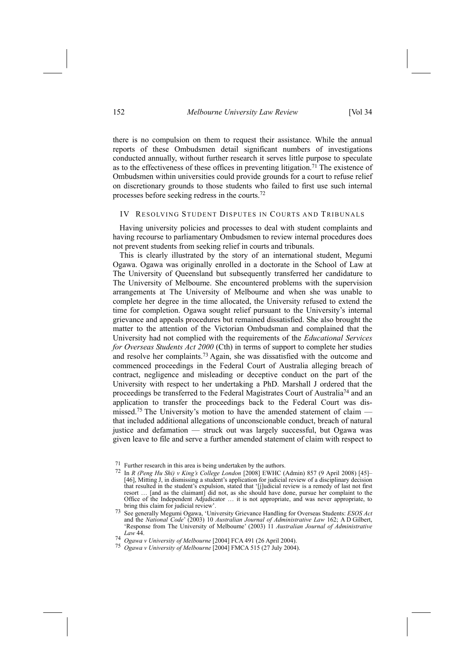there is no compulsion on them to request their assistance. While the annual reports of these Ombudsmen detail significant numbers of investigations conducted annually, without further research it serves little purpose to speculate as to the effectiveness of these offices in preventing litigation.<sup>71</sup> The existence of Ombudsmen within universities could provide grounds for a court to refuse relief on discretionary grounds to those students who failed to first use such internal processes before seeking redress in the courts.72

## IV RESOLVING STUDENT DISPUTES IN COURTS AND TRIBUNALS

Having university policies and processes to deal with student complaints and having recourse to parliamentary Ombudsmen to review internal procedures does not prevent students from seeking relief in courts and tribunals.

This is clearly illustrated by the story of an international student, Megumi Ogawa. Ogawa was originally enrolled in a doctorate in the School of Law at The University of Queensland but subsequently transferred her candidature to The University of Melbourne. She encountered problems with the supervision arrangements at The University of Melbourne and when she was unable to complete her degree in the time allocated, the University refused to extend the time for completion. Ogawa sought relief pursuant to the University's internal grievance and appeals procedures but remained dissatisfied. She also brought the matter to the attention of the Victorian Ombudsman and complained that the University had not complied with the requirements of the *Educational Services for Overseas Students Act 2000* (Cth) in terms of support to complete her studies and resolve her complaints.73 Again, she was dissatisfied with the outcome and commenced proceedings in the Federal Court of Australia alleging breach of contract, negligence and misleading or deceptive conduct on the part of the University with respect to her undertaking a PhD. Marshall J ordered that the proceedings be transferred to the Federal Magistrates Court of Australia74 and an application to transfer the proceedings back to the Federal Court was dismissed.<sup>75</sup> The University's motion to have the amended statement of claim that included additional allegations of unconscionable conduct, breach of natural justice and defamation — struck out was largely successful, but Ogawa was given leave to file and serve a further amended statement of claim with respect to

<sup>71</sup> Further research in this area is being undertaken by the authors. 72 In *<sup>R</sup> (Peng Hu Shi) <sup>v</sup> King's College London* [2008] EWHC (Admin) 857 (9 April 2008) [45]– [46], Mitting J, in dismissing a student's application for judicial review of a disciplinary decision that resulted in the student's expulsion, stated that '[j]udicial review is a remedy of last not first resort … [and as the claimant] did not, as she should have done, pursue her complaint to the Office of the Independent Adjudicator … it is not appropriate, and was never appropriate, to

bring this claim for judicial review'. 73 See generally Megumi Ogawa, 'University Grievance Handling for Overseas Students: *ESOS Act* and the *National Code*' (2003) 10 *Australian Journal of Administrative Law* 162; A D Gilbert, 'Response from The University of Melbourne' (2003) 11 *Australian Journal of Administrative Law* 44.

<sup>74</sup> *Ogawa v University of Melbourne* [2004] FCA 491 (26 April 2004).

<sup>75</sup> *Ogawa v University of Melbourne* [2004] FMCA 515 (27 July 2004).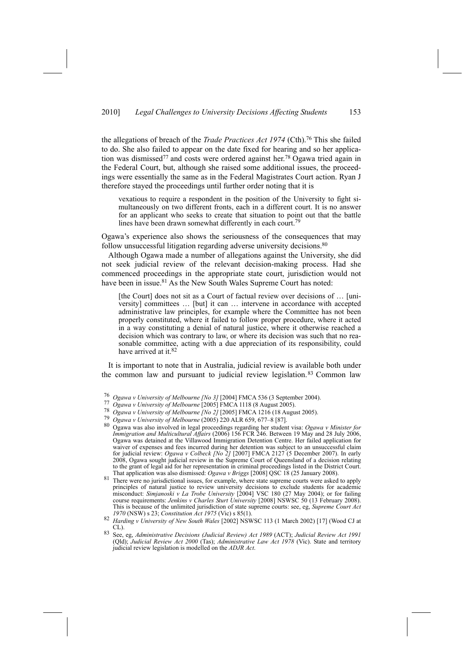the allegations of breach of the *Trade Practices Act 1974* (Cth).76 This she failed to do. She also failed to appear on the date fixed for hearing and so her application was dismissed77 and costs were ordered against her.78 Ogawa tried again in the Federal Court, but, although she raised some additional issues, the proceedings were essentially the same as in the Federal Magistrates Court action. Ryan J therefore stayed the proceedings until further order noting that it is

vexatious to require a respondent in the position of the University to fight simultaneously on two different fronts, each in a different court. It is no answer for an applicant who seeks to create that situation to point out that the battle lines have been drawn somewhat differently in each court.<sup>79</sup>

Ogawa's experience also shows the seriousness of the consequences that may follow unsuccessful litigation regarding adverse university decisions.<sup>80</sup>

Although Ogawa made a number of allegations against the University, she did not seek judicial review of the relevant decision-making process. Had she commenced proceedings in the appropriate state court, jurisdiction would not have been in issue.<sup>81</sup> As the New South Wales Supreme Court has noted:

[the Court] does not sit as a Court of factual review over decisions of ... [university] committees … [but] it can … intervene in accordance with accepted administrative law principles, for example where the Committee has not been properly constituted, where it failed to follow proper procedure, where it acted in a way constituting a denial of natural justice, where it otherwise reached a decision which was contrary to law, or where its decision was such that no reasonable committee, acting with a due appreciation of its responsibility, could have arrived at it.<sup>82</sup>

It is important to note that in Australia, judicial review is available both under the common law and pursuant to judicial review legislation.<sup>83</sup> Common law

<sup>77</sup> Ogawa v University of Melbourne [2005] FMCA 1118 (8 August 2005).<br><sup>78</sup> Ogawa v University of Melbourne [No 2] [2005] FMCA 1216 (18 August 2005).<br><sup>79</sup> Ogawa v University of Melbourne (2005) 220 ALR 659, 677–8 [87].<br><sup>80</sup> *Immigration and Multicultural Affairs* (2006) 156 FCR 246. Between 19 May and 28 July 2006, Ogawa was detained at the Villawood Immigration Detention Centre. Her failed application for waiver of expenses and fees incurred during her detention was subject to an unsuccessful claim for judicial review: *Ogawa v Colbeck [No 2]* [2007] FMCA 2127 (5 December 2007). In early 2008, Ogawa sought judicial review in the Supreme Court of Queensland of a decision relating to the grant of legal aid for her representation in criminal proceedings listed in the District Court.<br>That application was also dismissed: Ogawa v Briggs [2008] QSC 18 (25 January 2008).

<sup>81</sup> There were no jurisdictional issues, for example, where state supreme courts were asked to apply principles of natural justice to review university decisions to exclude students for academic misconduct: *Simjanoski v La Trobe University* [2004] VSC 180 (27 May 2004); or for failing course requirements: *Jenkins v Charles Sturt University* [2008] NSWSC 50 (13 February 2008). This is because of the unlimited jurisdiction of state supreme courts: see, eg, *Supreme Court Act*

- *1970* (NSW) s 23; *Constitution Act 1975* (Vic) s 85(1).<br>82 *Harding v University of New South Wales* [2002] NSWSC 113 (1 March 2002) [17] (Wood CJ at CL).
- CL). 83 See, eg, *Administrative Decisions (Judicial Review) Act <sup>1989</sup>* (ACT); *Judicial Review Act <sup>1991</sup>* (Qld); *Judicial Review Act 2000* (Tas); *Administrative Law Act 1978* (Vic). State and territory judicial review legislation is modelled on the *ADJR Act*.

<sup>76</sup> *Ogawa v University of Melbourne [No 3]* [2004] FMCA 536 (3 September 2004).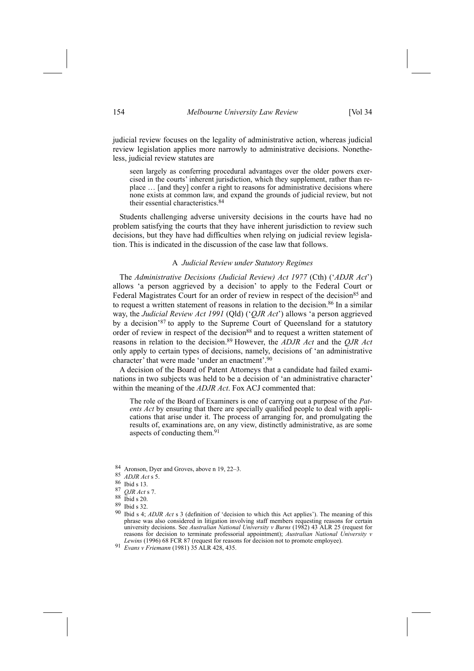judicial review focuses on the legality of administrative action, whereas judicial review legislation applies more narrowly to administrative decisions. Nonetheless, judicial review statutes are

seen largely as conferring procedural advantages over the older powers exercised in the courts' inherent jurisdiction, which they supplement, rather than replace … [and they] confer a right to reasons for administrative decisions where none exists at common law, and expand the grounds of judicial review, but not their essential characteristics.84

Students challenging adverse university decisions in the courts have had no problem satisfying the courts that they have inherent jurisdiction to review such decisions, but they have had difficulties when relying on judicial review legislation. This is indicated in the discussion of the case law that follows.

#### A *Judicial Review under Statutory Regimes*

The *Administrative Decisions (Judicial Review) Act 1977* (Cth) ('*ADJR Act*') allows 'a person aggrieved by a decision' to apply to the Federal Court or Federal Magistrates Court for an order of review in respect of the decision<sup>85</sup> and to request a written statement of reasons in relation to the decision.<sup>86</sup> In a similar way, the *Judicial Review Act 1991* (Qld) ('*QJR Act*') allows 'a person aggrieved by a decision'87 to apply to the Supreme Court of Queensland for a statutory order of review in respect of the decision<sup>88</sup> and to request a written statement of reasons in relation to the decision.89 However, the *ADJR Act* and the *QJR Act* only apply to certain types of decisions, namely, decisions of 'an administrative character' that were made 'under an enactment'.90

A decision of the Board of Patent Attorneys that a candidate had failed examinations in two subjects was held to be a decision of 'an administrative character' within the meaning of the *ADJR Act*. Fox ACJ commented that:

The role of the Board of Examiners is one of carrying out a purpose of the *Patents Act* by ensuring that there are specially qualified people to deal with applications that arise under it. The process of arranging for, and promulgating the results of, examinations are, on any view, distinctly administrative, as are some aspects of conducting them.<sup>91</sup>

- 84 Aronson, Dyer and Groves, above n 19, 22–3. 85 *ADJR Act* s 5.
- 
- $\frac{86}{87}$  Ibid s 13.
- <sup>87</sup> *QJR Act* s 7.
- $\begin{array}{c} 88 \\ 89 \end{array}$  Ibid s 20.
- Ibid s 32
- 90 Ibid s 4; *ADJR Act* s 3 (definition of 'decision to which this Act applies'). The meaning of this phrase was also considered in litigation involving staff members requesting reasons for certain university decisions. See *Australian National University v Burns* (1982) 43 ALR 25 (request for reasons for decision to terminate professorial appointment); *Australian National University v Lewins* (1996) 68 FCR 87 (request for reasons for decision not to promote employee). 91 *Evans <sup>v</sup> Friemann* (1981) 35 ALR 428, 435.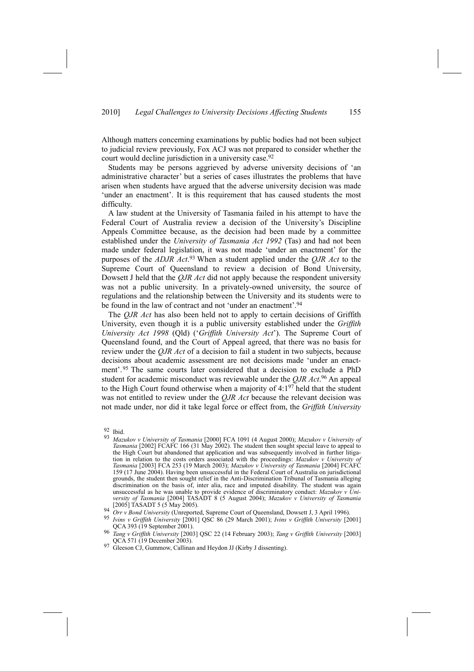Although matters concerning examinations by public bodies had not been subject to judicial review previously, Fox ACJ was not prepared to consider whether the court would decline jurisdiction in a university case.<sup>92</sup>

Students may be persons aggrieved by adverse university decisions of 'an administrative character' but a series of cases illustrates the problems that have arisen when students have argued that the adverse university decision was made 'under an enactment'. It is this requirement that has caused students the most difficulty.

A law student at the University of Tasmania failed in his attempt to have the Federal Court of Australia review a decision of the University's Discipline Appeals Committee because, as the decision had been made by a committee established under the *University of Tasmania Act 1992* (Tas) and had not been made under federal legislation, it was not made 'under an enactment' for the purposes of the *ADJR Act*. 93 When a student applied under the *QJR Act* to the Supreme Court of Queensland to review a decision of Bond University, Dowsett J held that the *QJR Act* did not apply because the respondent university was not a public university. In a privately-owned university, the source of regulations and the relationship between the University and its students were to be found in the law of contract and not 'under an enactment'.<sup>94</sup>

The *QJR Act* has also been held not to apply to certain decisions of Griffith University, even though it is a public university established under the *Griffith University Act 1998* (Qld) ('*Griffith University Act*'). The Supreme Court of Queensland found, and the Court of Appeal agreed, that there was no basis for review under the *QJR Act* of a decision to fail a student in two subjects, because decisions about academic assessment are not decisions made 'under an enactment'.95 The same courts later considered that a decision to exclude a PhD student for academic misconduct was reviewable under the *QJR Act*. 96 An appeal to the High Court found otherwise when a majority of  $4:1^{97}$  held that the student was not entitled to review under the *QJR Act* because the relevant decision was not made under, nor did it take legal force or effect from, the *Griffith University*

 $\frac{92}{93}$  Ibid.

<sup>93</sup> *Mazukov v University of Tasmania* [2000] FCA 1091 (4 August 2000); *Mazukov v University of Tasmania* [2002] FCAFC 166 (31 May 2002). The student then sought special leave to appeal to the High Court but abandoned that application and was subsequently involved in further litigation in relation to the costs orders associated with the proceedings: *Mazukov v University of Tasmania* [2003] FCA 253 (19 March 2003); *Mazukov v University of Tasmania* [2004] FCAFC 159 (17 June 2004). Having been unsuccessful in the Federal Court of Australia on jurisdictional grounds, the student then sought relief in the Anti-Discrimination Tribunal of Tasmania alleging discrimination on the basis of, inter alia, race and imputed disability. The student was again unsuccessful as he was unable to provide evidence of discriminatory conduct: *Mazukov v University of Tasmania* [2004] TASADT 8 (5 August 2004); *Mazukov v University of Tasmania* [2005] TASADT 5 (5 May 2005).<br><sup>94</sup> Orr v Bond University (Unreported, Supreme Court of Queensland, Dowsett J, 3 April 1996).<br><sup>95</sup> Ivins v Griffith University [2001] QSC 86 (29 March 2001); Ivins v Griffith University [200

QCA 393 (19 September 2001).<br> *Tang v Griffith University* [2003] QSC 22 (14 February 2003); *Tang v Griffith University* [2003]<br>
QCA 571 (19 December 2003).

<sup>&</sup>lt;sup>97</sup> Gleeson CJ, Gummow, Callinan and Heydon JJ (Kirby J dissenting).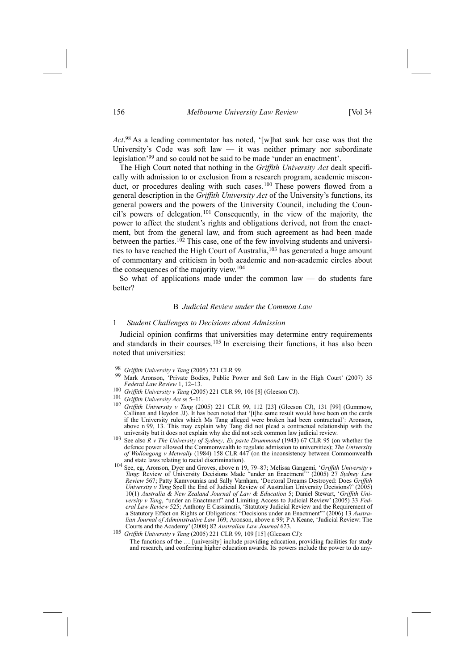*Act*. 98 As a leading commentator has noted, '[w]hat sank her case was that the University's Code was soft law — it was neither primary nor subordinate legislation'99 and so could not be said to be made 'under an enactment'.

The High Court noted that nothing in the *Griffith University Act* dealt specifically with admission to or exclusion from a research program, academic misconduct, or procedures dealing with such cases.<sup>100</sup> These powers flowed from a general description in the *Griffith University Act* of the University's functions, its general powers and the powers of the University Council, including the Council's powers of delegation.101 Consequently, in the view of the majority, the power to affect the student's rights and obligations derived, not from the enactment, but from the general law, and from such agreement as had been made between the parties.<sup>102</sup> This case, one of the few involving students and universities to have reached the High Court of Australia,<sup>103</sup> has generated a huge amount of commentary and criticism in both academic and non-academic circles about the consequences of the majority view.104

So what of applications made under the common law  $-$  do students fare better?

## B *Judicial Review under the Common Law*

#### 1 *Student Challenges to Decisions about Admission*

Judicial opinion confirms that universities may determine entry requirements and standards in their courses.105 In exercising their functions, it has also been noted that universities:

- 
- <sup>98</sup> *Griffith University v Tang* (2005) 221 CLR 99.<br><sup>99</sup> Mark Aronson, 'Private Bodies, Public Power and Soft Law in the High Court' (2007) 35 *Federal Law Review* 1, 12–13.
- <sup>100</sup> *Griffith University <sup>v</sup> Tang* (2005) 221 CLR 99, 106 [8] (Gleeson CJ). 101 *Griffith University Act* ss 5–11.
- 
- <sup>102</sup> *Griffith University v Tang* (2005) 221 CLR 99, 112 [23] (Gleeson CJ), 131 [99] (Gummow, Callinan and Heydon JJ). It has been noted that '[t]he same result would have been on the cards if the University rules which Ms Tang alleged were broken had been contractual': Aronson, above n 99, 13. This may explain why Tang did not plead a contractual relationship with the university but it does not explain why she did not seek common law judicial review.
- See also  $R$  v The University of Sydney; Ex parte Drummond (1943) 67 CLR 95 (on whether the defence power allowed the Commonwealth to regulate admission to universities); *The University of Wollongong v Metwally* (1984) 158 CLR 447 (on the inconsistency between Commonwealth and state laws relating to racial discrimination). 104 See, eg, Aronson, Dyer and Groves, above n 19, 79–87; Melissa Gangemi, '*Griffith University <sup>v</sup>*
- *Tang*: Review of University Decisions Made "under an Enactment"' (2005) 27 *Sydney Law Review* 567; Patty Kamvounias and Sally Varnham, 'Doctoral Dreams Destroyed: Does *Griffith University v Tang* Spell the End of Judicial Review of Australian University Decisions?' (2005) 10(1) *Australia & New Zealand Journal of Law & Education* 5; Daniel Stewart, '*Griffith University v Tang*, "under an Enactment" and Limiting Access to Judicial Review' (2005) 33 *Federal Law Review* 525; Anthony E Cassimatis, 'Statutory Judicial Review and the Requirement of a Statutory Effect on Rights or Obligations: "Decisions under an Enactment"' (2006) 13 *Australian Journal of Administrative Law* 169; Aronson, above n 99; P A Keane, 'Judicial Review: The Courts and the Academy' (2008) 82 *Australian Law Journal* 623.
- <sup>105</sup> *Griffith University v Tang* (2005) 221 CLR 99, 109 [15] (Gleeson CJ):

The functions of the … [university] include providing education, providing facilities for study and research, and conferring higher education awards. Its powers include the power to do any-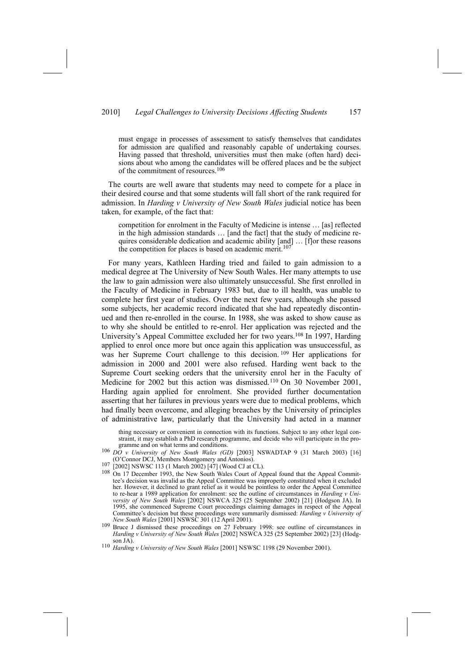## 2010] *Legal Challenges to University Decisions Affecting Students* 157

must engage in processes of assessment to satisfy themselves that candidates for admission are qualified and reasonably capable of undertaking courses. Having passed that threshold, universities must then make (often hard) decisions about who among the candidates will be offered places and be the subject of the commitment of resources.106

The courts are well aware that students may need to compete for a place in their desired course and that some students will fall short of the rank required for admission. In *Harding v University of New South Wales* judicial notice has been taken, for example, of the fact that:

competition for enrolment in the Faculty of Medicine is intense … [as] reflected in the high admission standards … [and the fact] that the study of medicine requires considerable dedication and academic ability [and] … [f]or these reasons the competition for places is based on academic merit.<sup>107</sup>

For many years, Kathleen Harding tried and failed to gain admission to a medical degree at The University of New South Wales. Her many attempts to use the law to gain admission were also ultimately unsuccessful. She first enrolled in the Faculty of Medicine in February 1983 but, due to ill health, was unable to complete her first year of studies. Over the next few years, although she passed some subjects, her academic record indicated that she had repeatedly discontinued and then re-enrolled in the course. In 1988, she was asked to show cause as to why she should be entitled to re-enrol. Her application was rejected and the University's Appeal Committee excluded her for two years.108 In 1997, Harding applied to enrol once more but once again this application was unsuccessful, as was her Supreme Court challenge to this decision. <sup>109</sup> Her applications for admission in 2000 and 2001 were also refused. Harding went back to the Supreme Court seeking orders that the university enrol her in the Faculty of Medicine for 2002 but this action was dismissed.<sup>110</sup> On 30 November 2001, Harding again applied for enrolment. She provided further documentation asserting that her failures in previous years were due to medical problems, which had finally been overcome, and alleging breaches by the University of principles of administrative law, particularly that the University had acted in a manner

thing necessary or convenient in connection with its functions. Subject to any other legal constraint, it may establish a PhD research programme, and decide who will participate in the programme and on what terms and conditions.

- 106 *DO v University of New South Wales (GD)* [2003] NSWADTAP 9 (31 March 2003) [16] *(O'Connor DCJ, Members Montgomery and Antonios).*
- 
- (O'Connor Des), Members Montgomery and Antonios).<br>
107 [2002] NSWSC 113 (1 March 2002) [47] (Wood CJ at CL).<br>
108 On 17 December 1993, the New South Wales Court of Appeal found that the Appeal Committee's decision was invalid as the Appeal Committee was improperly constituted when it excluded her. However, it declined to grant relief as it would be pointless to order the Appeal Committee to re-hear a 1989 application for enrolment: see the outline of circumstances in *Harding v University of New South Wales* [2002] NSWCA 325 (25 September 2002) [21] (Hodgson JA). In 1995, she commenced Supreme Court proceedings claiming damages in respect of the Appeal Committee's decision but these proceedings were summarily dismissed: *Harding v University of*
- *New South Wales* [2001] NSWSC 301 (12 April 2001). <sup>109</sup> Bruce J dismissed these proceedings on 27 February 1998: see outline of circumstances in *Harding v University of New South Wales* [2002] NSWCA 325 (25 September 2002) [23] (Hodgson JA). 110 *Harding <sup>v</sup> University of New South Wales* [2001] NSWSC 1198 (29 November 2001).
-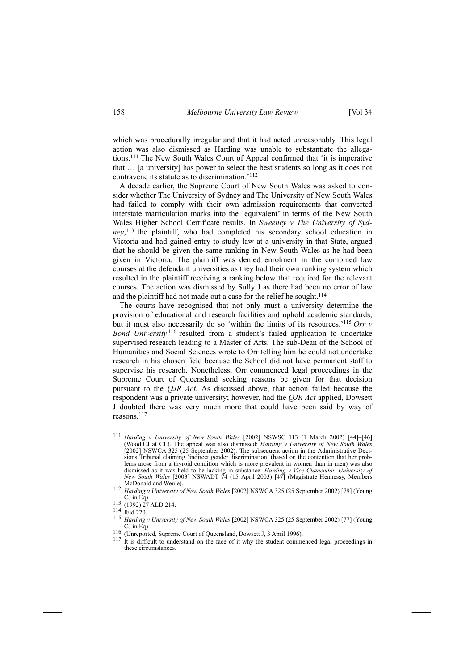which was procedurally irregular and that it had acted unreasonably. This legal action was also dismissed as Harding was unable to substantiate the allegations.111 The New South Wales Court of Appeal confirmed that 'it is imperative that … [a university] has power to select the best students so long as it does not contravene its statute as to discrimination.'112

A decade earlier, the Supreme Court of New South Wales was asked to consider whether The University of Sydney and The University of New South Wales had failed to comply with their own admission requirements that converted interstate matriculation marks into the 'equivalent' in terms of the New South Wales Higher School Certificate results. In *Sweeney v The University of Sydney*, 113 the plaintiff, who had completed his secondary school education in Victoria and had gained entry to study law at a university in that State, argued that he should be given the same ranking in New South Wales as he had been given in Victoria. The plaintiff was denied enrolment in the combined law courses at the defendant universities as they had their own ranking system which resulted in the plaintiff receiving a ranking below that required for the relevant courses. The action was dismissed by Sully J as there had been no error of law and the plaintiff had not made out a case for the relief he sought.<sup>114</sup>

The courts have recognised that not only must a university determine the provision of educational and research facilities and uphold academic standards, but it must also necessarily do so 'within the limits of its resources.'115 *Orr v Bond University* 116 resulted from a student's failed application to undertake supervised research leading to a Master of Arts. The sub-Dean of the School of Humanities and Social Sciences wrote to Orr telling him he could not undertake research in his chosen field because the School did not have permanent staff to supervise his research. Nonetheless, Orr commenced legal proceedings in the Supreme Court of Queensland seeking reasons be given for that decision pursuant to the *QJR Act*. As discussed above, that action failed because the respondent was a private university; however, had the *QJR Act* applied, Dowsett J doubted there was very much more that could have been said by way of reasons.117

- <sup>111</sup> *Harding v University of New South Wales* [2002] NSWSC 113 (1 March 2002) [44]–[46] (Wood CJ at CL). The appeal was also dismissed: *Harding v University of New South Wales*  $[2002]$  NSWCA 325 (25 September 2002). The subsequent action in the Administrative Decisions Tribunal claiming 'indirect gender discrimination' (based on the contention that her problems arose from a thyroid condition which is more prevalent in women than in men) was also dismissed as it was held to be lacking in substance: *Harding v Vice-Chancellor, University of New South Wales* [2003] NSWADT 74 (15 April 2003) [47] (Magistrate Hennessy, Members
- McDonald and Weule). 112 *Harding <sup>v</sup> University of New South Wales* [2002] NSWCA 325 (25 September 2002) [79] (Young
- $\frac{113}{114}$  (1992) 27 ALD 214.
- 
- <sup>115</sup> *Harding v University of New South Wales* [2002] NSWCA 325 (25 September 2002) [77] (Young
- 
- CJ in Eq).<br>
<sup>116</sup> (Unreported, Supreme Court of Queensland, Dowsett J, 3 April 1996).<br>
<sup>117</sup> It is difficult to understand on the face of it why the student commenced legal proceedings in these circumstances.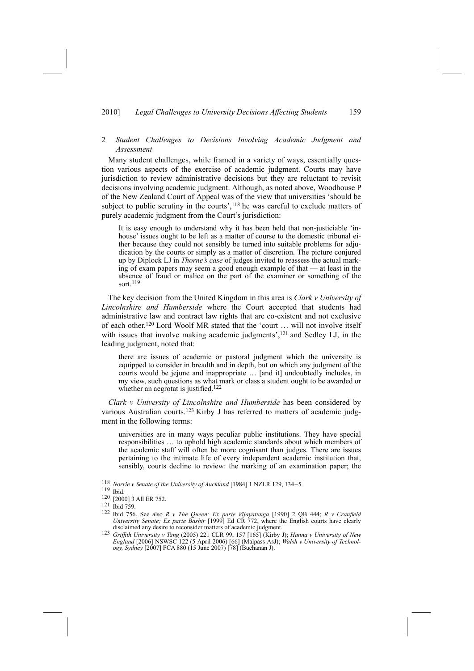## 2010] *Legal Challenges to University Decisions Affecting Students* 159

## 2 *Student Challenges to Decisions Involving Academic Judgment and Assessment*

Many student challenges, while framed in a variety of ways, essentially question various aspects of the exercise of academic judgment. Courts may have jurisdiction to review administrative decisions but they are reluctant to revisit decisions involving academic judgment. Although, as noted above, Woodhouse P of the New Zealand Court of Appeal was of the view that universities 'should be subject to public scrutiny in the courts', $118$  he was careful to exclude matters of purely academic judgment from the Court's jurisdiction:

It is easy enough to understand why it has been held that non-justiciable 'inhouse' issues ought to be left as a matter of course to the domestic tribunal either because they could not sensibly be turned into suitable problems for adjudication by the courts or simply as a matter of discretion. The picture conjured up by Diplock LJ in *Thorne's case* of judges invited to reassess the actual marking of exam papers may seem a good enough example of that — at least in the absence of fraud or malice on the part of the examiner or something of the sort.<sup>119</sup>

The key decision from the United Kingdom in this area is *Clark v University of Lincolnshire and Humberside* where the Court accepted that students had administrative law and contract law rights that are co-existent and not exclusive of each other.120 Lord Woolf MR stated that the 'court … will not involve itself with issues that involve making academic judgments',<sup>121</sup> and Sedley LJ, in the leading judgment, noted that:

there are issues of academic or pastoral judgment which the university is equipped to consider in breadth and in depth, but on which any judgment of the courts would be jejune and inappropriate … [and it] undoubtedly includes, in my view, such questions as what mark or class a student ought to be awarded or whether an aegrotat is justified.<sup>122</sup>

*Clark v University of Lincolnshire and Humberside* has been considered by various Australian courts.<sup>123</sup> Kirby J has referred to matters of academic judgment in the following terms:

universities are in many ways peculiar public institutions. They have special responsibilities … to uphold high academic standards about which members of the academic staff will often be more cognisant than judges. There are issues pertaining to the intimate life of every independent academic institution that, sensibly, courts decline to review: the marking of an examination paper; the

<sup>118</sup> *Norrie v Senate of the University of Auckland* [1984] 1 NZLR 129, 134–5.

<sup>119</sup> Ibid.

<sup>120 [2000] 3</sup> All ER 752.

<sup>121</sup> Ibid 759.

<sup>122</sup> Ibid 756. See also *R v The Queen; Ex parte Vijayatunga* [1990] 2 QB 444; *R v Cranfield University Senate; Ex parte Bashir* [1999] Ed CR 772, where the English courts have clearly disclaimed any desire to reconsider matters of academic judgment.<br><sup>123</sup> Griffith University v Tang (2005) 221 CLR 99, 157 [165] (Kirby J); Hanna v University of New

*England* [2006] NSWSC 122 (5 April 2006) [66] (Malpass AsJ); *Walsh v University of Technology, Sydney* [2007] FCA 880 (15 June 2007) [78] (Buchanan J).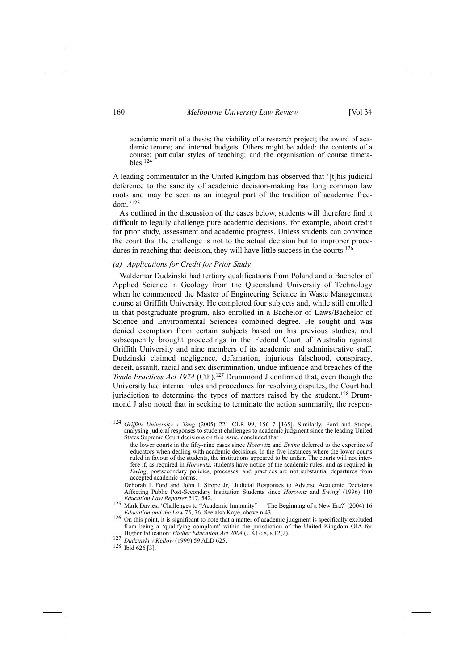academic merit of a thesis; the viability of a research project; the award of academic tenure; and internal budgets. Others might be added: the contents of a course; particular styles of teaching; and the organisation of course timetables. $124$ 

A leading commentator in the United Kingdom has observed that '[t]his judicial deference to the sanctity of academic decision-making has long common law roots and may be seen as an integral part of the tradition of academic freedom.'125

As outlined in the discussion of the cases below, students will therefore find it difficult to legally challenge pure academic decisions, for example, about credit for prior study, assessment and academic progress. Unless students can convince the court that the challenge is not to the actual decision but to improper procedures in reaching that decision, they will have little success in the courts.<sup>126</sup>

## *(a) Applications for Credit for Prior Study*

Waldemar Dudzinski had tertiary qualifications from Poland and a Bachelor of Applied Science in Geology from the Queensland University of Technology when he commenced the Master of Engineering Science in Waste Management course at Griffith University. He completed four subjects and, while still enrolled in that postgraduate program, also enrolled in a Bachelor of Laws/Bachelor of Science and Environmental Sciences combined degree. He sought and was denied exemption from certain subjects based on his previous studies, and subsequently brought proceedings in the Federal Court of Australia against Griffith University and nine members of its academic and administrative staff. Dudzinski claimed negligence, defamation, injurious falsehood, conspiracy, deceit, assault, racial and sex discrimination, undue influence and breaches of the *Trade Practices Act 1974* (Cth).127 Drummond J confirmed that, even though the University had internal rules and procedures for resolving disputes, the Court had jurisdiction to determine the types of matters raised by the student.<sup>128</sup> Drummond J also noted that in seeking to terminate the action summarily, the respon-

- the lower courts in the fifty-nine cases since *Horowitz* and *Ewing* deferred to the expertise of educators when dealing with academic decisions. In the five instances where the lower courts ruled in favour of the students, the institutions appeared to be unfair. The courts will not interfere if, as required in *Horowitz*, students have notice of the academic rules, and as required in *Ewing*, postsecondary policies, processes, and practices are not substantial departures from accepted academic norms.
- Deborah L Ford and John L Strope Jr, 'Judicial Responses to Adverse Academic Decisions Affecting Public Post-Secondary Institution Students since *Horowitz* and *Ewing*' (1996) 110 *Education Law Reporter* 517, 542.
- 125 Mark Davies, 'Challenges to "Academic Immunity" The Beginning of a New Era?' (2004) 16<br>Education and the Law 75, 76. See also Kave, above n 43.
- <sup>126</sup> On this point, it is significant to note that a matter of academic judgment is specifically excluded from being a 'qualifying complaint' within the jurisdiction of the United Kingdom OIA for Higher Education: *Higher Education Act <sup>2004</sup>* (UK) c 8, s 12(2). 127 *Dudzinski <sup>v</sup> Kellow* (1999) 59 ALD 625. 128 Ibid 626 [3].
- 
- 

<sup>124</sup> *Griffith University v Tang* (2005) 221 CLR 99, 156–7 [165]. Similarly, Ford and Strope, analysing judicial responses to student challenges to academic judgment since the leading United States Supreme Court decisions on this issue, concluded that: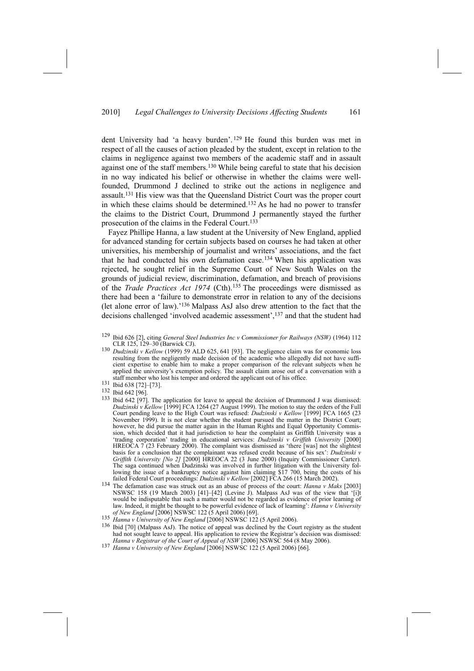dent University had 'a heavy burden'. 129 He found this burden was met in respect of all the causes of action pleaded by the student, except in relation to the claims in negligence against two members of the academic staff and in assault against one of the staff members.130 While being careful to state that his decision in no way indicated his belief or otherwise in whether the claims were wellfounded, Drummond J declined to strike out the actions in negligence and assault.131 His view was that the Queensland District Court was the proper court in which these claims should be determined.132 As he had no power to transfer the claims to the District Court, Drummond J permanently stayed the further prosecution of the claims in the Federal Court.133

Fayez Phillipe Hanna, a law student at the University of New England, applied for advanced standing for certain subjects based on courses he had taken at other universities, his membership of journalist and writers' associations, and the fact that he had conducted his own defamation case.134 When his application was rejected, he sought relief in the Supreme Court of New South Wales on the grounds of judicial review, discrimination, defamation, and breach of provisions of the *Trade Practices Act 1974* (Cth).135 The proceedings were dismissed as there had been a 'failure to demonstrate error in relation to any of the decisions (let alone error of law).'136 Malpass AsJ also drew attention to the fact that the decisions challenged 'involved academic assessment',137 and that the student had

130 *Dudzinski v Kellow* (1999) 59 ALD 625, 641 [93]. The negligence claim was for economic loss resulting from the negligently made decision of the academic who allegedly did not have sufficient expertise to enable him to make a proper comparison of the relevant subjects when he applied the university's exemption policy. The assault claim arose out of a conversation with a staff member who lost his temper and ordered the applicant out of his office. 131 Ibid 638 [72]–[73].

- 132 Ibid 642 [96].
- 133 Ibid 642 [97]. The application for leave to appeal the decision of Drummond J was dismissed: *Dudzinski v Kellow* [1999] FCA 1264 (27 August 1999). The motion to stay the orders of the Full Court pending leave to the High Court was refused: *Dudzinski v Kellow* [1999] FCA 1665 (23 November 1999). It is not clear whether the student pursued the matter in the District Court; however, he did pursue the matter again in the Human Rights and Equal Opportunity Commission, which decided that it had jurisdiction to hear the complaint as Griffith University was a 'trading corporation' trading in educational services: *Dudzinski v Griffith University* [2000] HREOCA 7 (23 February 2000). The complaint was dismissed as 'there [was] not the slightest basis for a conclusion that the complainant was refused credit because of his sex': *Dudzinski v Griffith University [No 2]* [2000] HREOCA 22 (3 June 2000) (Inquiry Commissioner Carter). The saga continued when Dudzinski was involved in further litigation with the University following the issue of a bankruptcy notice against him claiming  $\frac{$17,700, \text{ being the costs of his failed Federal Court proceedings: } Dudzinski v\ Kellow [2002] FCA 266 (15 March 2002).}$
- failed Federal Court proceedings: *Dudzinski <sup>v</sup> Kellow* [2002] FCA 266 (15 March 2002). 134 The defamation case was struck out as an abuse of process of the court: *Hanna <sup>v</sup> Maks* [2003] NSWSC 158 (19 March 2003) [41]–[42] (Levine J). Malpass AsJ was of the view that '[i]t would be indisputable that such a matter would not be regarded as evidence of prior learning of law. Indeed, it might be thought to be powerful evidence of lack of learning': *Hanna v University*
- 
- 135 Hanna v University of New England [2006] NSWSC 122 (5 April 2006).<br>
<sup>136</sup> Ibid [70] (Malpass AsJ). The notice of appeal was declined by the Court registry as the student had not sought leave to appeal. His application to review the Registrar's decision was dismissed:<br>Hanna v Registrar of the Court of Appeal of NSW [2006] NSWSC 564 (8 May 2006).
- 137 Hanna v University of New England [2006] NSWSC 122 (5 April 2006) [66].

<sup>129</sup> Ibid 626 [2], citing *General Steel Industries Inc v Commissioner for Railways (NSW)* (1964) 112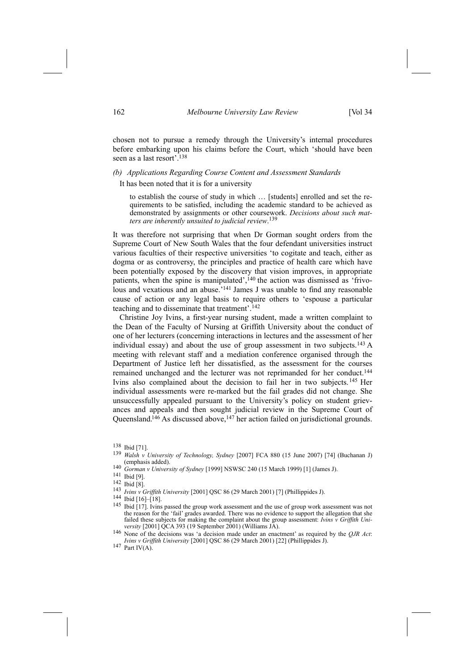chosen not to pursue a remedy through the University's internal procedures before embarking upon his claims before the Court, which 'should have been seen as a last resort'.<sup>138</sup>

## *(b) Applications Regarding Course Content and Assessment Standards*

It has been noted that it is for a university

to establish the course of study in which … [students] enrolled and set the requirements to be satisfied, including the academic standard to be achieved as demonstrated by assignments or other coursework. *Decisions about such matters are inherently unsuited to judicial review*. 139

It was therefore not surprising that when Dr Gorman sought orders from the Supreme Court of New South Wales that the four defendant universities instruct various faculties of their respective universities 'to cogitate and teach, either as dogma or as controversy, the principles and practice of health care which have been potentially exposed by the discovery that vision improves, in appropriate patients, when the spine is manipulated', $140$  the action was dismissed as 'frivolous and vexatious and an abuse.<sup>'141</sup> James J was unable to find any reasonable cause of action or any legal basis to require others to 'espouse a particular teaching and to disseminate that treatment'.142

Christine Joy Ivins, a first-year nursing student, made a written complaint to the Dean of the Faculty of Nursing at Griffith University about the conduct of one of her lecturers (concerning interactions in lectures and the assessment of her individual essay) and about the use of group assessment in two subjects.<sup>143</sup> A meeting with relevant staff and a mediation conference organised through the Department of Justice left her dissatisfied, as the assessment for the courses remained unchanged and the lecturer was not reprimanded for her conduct.144 Ivins also complained about the decision to fail her in two subjects.145 Her individual assessments were re-marked but the fail grades did not change. She unsuccessfully appealed pursuant to the University's policy on student grievances and appeals and then sought judicial review in the Supreme Court of Queensland.<sup>146</sup> As discussed above,<sup>147</sup> her action failed on jurisdictional grounds.

142 Ibid [8].

<sup>145</sup> Ibid [17]. Ivins passed the group work assessment and the use of group work assessment was not the reason for the 'fail' grades awarded. There was no evidence to support the allegation that she failed these subjects for making the complaint about the group assessment: *Ivins v Griffith Uni-*

<sup>138</sup> Ibid [71].

<sup>139</sup> *Walsh v University of Technology, Sydney* [2007] FCA 880 (15 June 2007) [74] (Buchanan J) (emphasis added). 140 *Gorman <sup>v</sup> University of Sydney* [1999] NSWSC 240 (15 March 1999) [1] (James J). 141 Ibid [9].

<sup>143</sup> *Ivins <sup>v</sup> Griffith University* [2001] QSC 86 (29 March 2001) [7] (Phillippides J). 144 Ibid [16]–[18].

*versity* [2001] QCA 393 (19 September 2001) (Williams JA). 146 None of the decisions was 'a decision made under an enactment' as required by the *QJR Act*: *Ivins <sup>v</sup> Griffith University* [2001] QSC 86 (29 March 2001) [22] (Phillippides J). 147 Part IV(A).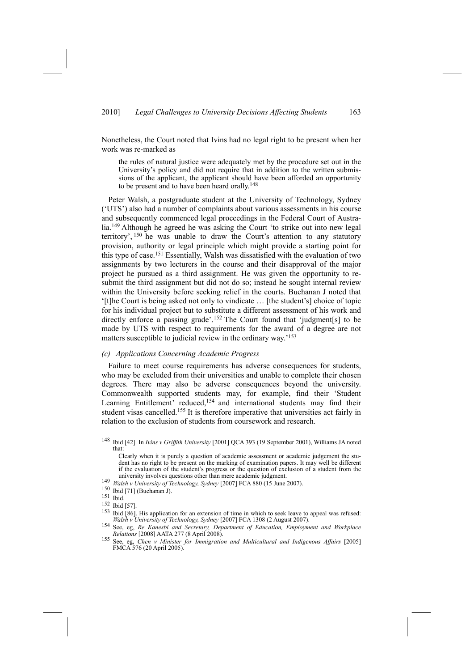Nonetheless, the Court noted that Ivins had no legal right to be present when her work was re-marked as

the rules of natural justice were adequately met by the procedure set out in the University's policy and did not require that in addition to the written submissions of the applicant, the applicant should have been afforded an opportunity to be present and to have been heard orally.<sup>148</sup>

Peter Walsh, a postgraduate student at the University of Technology, Sydney ('UTS') also had a number of complaints about various assessments in his course and subsequently commenced legal proceedings in the Federal Court of Australia.149 Although he agreed he was asking the Court 'to strike out into new legal territory', 150 he was unable to draw the Court's attention to any statutory provision, authority or legal principle which might provide a starting point for this type of case.151 Essentially, Walsh was dissatisfied with the evaluation of two assignments by two lecturers in the course and their disapproval of the major project he pursued as a third assignment. He was given the opportunity to resubmit the third assignment but did not do so; instead he sought internal review within the University before seeking relief in the courts. Buchanan J noted that '[t]he Court is being asked not only to vindicate … [the student's] choice of topic for his individual project but to substitute a different assessment of his work and directly enforce a passing grade'.<sup>152</sup> The Court found that 'judgment[s] to be made by UTS with respect to requirements for the award of a degree are not matters susceptible to judicial review in the ordinary way.'153

## *(c) Applications Concerning Academic Progress*

Failure to meet course requirements has adverse consequences for students, who may be excluded from their universities and unable to complete their chosen degrees. There may also be adverse consequences beyond the university. Commonwealth supported students may, for example, find their 'Student Learning Entitlement' reduced,<sup>154</sup> and international students may find their student visas cancelled.155 It is therefore imperative that universities act fairly in relation to the exclusion of students from coursework and research.

148 Ibid [42]. In *Ivins v Griffith University* [2001] QCA 393 (19 September 2001), Williams JA noted that:

Clearly when it is purely a question of academic assessment or academic judgement the student has no right to be present on the marking of examination papers. It may well be different if the evaluation of the student's progress or the question of exclusion of a student from the university involves questions other than mere academic judgment.

Ibid [86]. His application for an extension of time in which to seek leave to appeal was refused:

university of *Technology, Sydney* [2007] FCA 880 (15 June 2007).<br>
<sup>150</sup> Ibid [71] (Buchanan J).<br>
<sup>151</sup> Ibid.

 $\frac{152}{153}$  Ibid [57].

Walsh v University of Technology, Sydney [2007] FCA 1308 (2 August 2007).<br>See, eg, Re Kanesbi and Secretary, Department of Education, Employment and Workplace<br>Relations [2008] AATA 277 (8 April 2008). *Relations* [2008] AATA 277 (8 April 2008). 155 See, eg, *Chen <sup>v</sup> Minister for Immigration and Multicultural and Indigenous Affairs* [2005]

FMCA 576 (20 April 2005).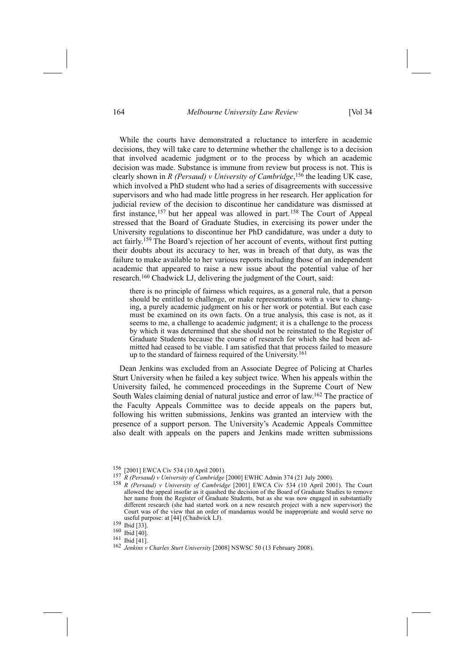#### 164 *Melbourne University Law Review* [Vol 34

While the courts have demonstrated a reluctance to interfere in academic decisions, they will take care to determine whether the challenge is to a decision that involved academic judgment or to the process by which an academic decision was made. Substance is immune from review but process is not. This is clearly shown in *R (Persaud) v University of Cambridge*, 156 the leading UK case, which involved a PhD student who had a series of disagreements with successive supervisors and who had made little progress in her research. Her application for judicial review of the decision to discontinue her candidature was dismissed at first instance,157 but her appeal was allowed in part.158 The Court of Appeal stressed that the Board of Graduate Studies, in exercising its power under the University regulations to discontinue her PhD candidature, was under a duty to act fairly.159 The Board's rejection of her account of events, without first putting their doubts about its accuracy to her, was in breach of that duty, as was the failure to make available to her various reports including those of an independent academic that appeared to raise a new issue about the potential value of her research.160 Chadwick LJ, delivering the judgment of the Court, said:

there is no principle of fairness which requires, as a general rule, that a person should be entitled to challenge, or make representations with a view to changing, a purely academic judgment on his or her work or potential. But each case must be examined on its own facts. On a true analysis, this case is not, as it seems to me, a challenge to academic judgment; it is a challenge to the process by which it was determined that she should not be reinstated to the Register of Graduate Students because the course of research for which she had been admitted had ceased to be viable. I am satisfied that that process failed to measure up to the standard of fairness required of the University.<sup>161</sup>

Dean Jenkins was excluded from an Associate Degree of Policing at Charles Sturt University when he failed a key subject twice. When his appeals within the University failed, he commenced proceedings in the Supreme Court of New South Wales claiming denial of natural justice and error of law.162 The practice of the Faculty Appeals Committee was to decide appeals on the papers but, following his written submissions, Jenkins was granted an interview with the presence of a support person. The University's Academic Appeals Committee also dealt with appeals on the papers and Jenkins made written submissions

<sup>&</sup>lt;sup>156</sup> [2001] EWCA Civ 534 (10 April 2001).<br><sup>157</sup> R (Persaud) v University of Cambridge [2000] EWHC Admin 374 (21 July 2000).<br><sup>158</sup> R (Persaud) v University of Cambridge [2001] EWCA Civ 534 (10 April 2001). The Court allowed the appeal insofar as it quashed the decision of the Board of Graduate Studies to remove her name from the Register of Graduate Students, but as she was now engaged in substantially different research (she had started work on a new research project with a new supervisor) the Court was of the view that an order of mandamus would be inappropriate and would serve no useful purpose: at [44] (Chadwick LJ). 159 Ibid [33].

 $\frac{159}{160}$  Ibid [33].

<sup>161</sup> Ibid [41].

<sup>162</sup> *Jenkins v Charles Sturt University* [2008] NSWSC 50 (13 February 2008).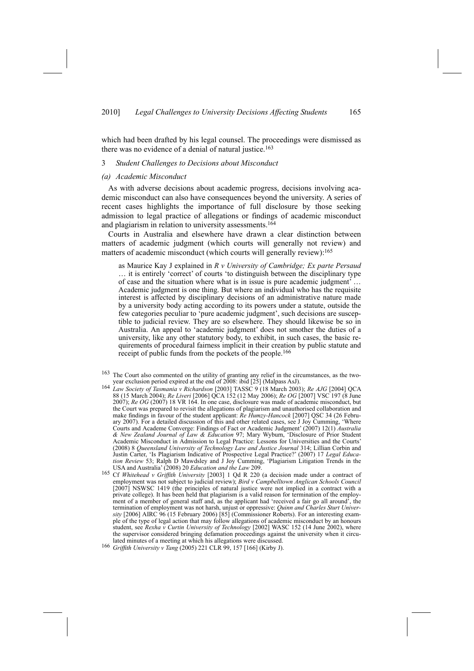which had been drafted by his legal counsel. The proceedings were dismissed as there was no evidence of a denial of natural justice.<sup>163</sup>

#### 3 *Student Challenges to Decisions about Misconduct*

#### *(a) Academic Misconduct*

As with adverse decisions about academic progress, decisions involving academic misconduct can also have consequences beyond the university. A series of recent cases highlights the importance of full disclosure by those seeking admission to legal practice of allegations or findings of academic misconduct and plagiarism in relation to university assessments.164

Courts in Australia and elsewhere have drawn a clear distinction between matters of academic judgment (which courts will generally not review) and matters of academic misconduct (which courts will generally review):<sup>165</sup>

as Maurice Kay J explained in *R v University of Cambridge; Ex parte Persaud* … it is entirely 'correct' of courts 'to distinguish between the disciplinary type of case and the situation where what is in issue is pure academic judgment' … Academic judgment is one thing. But where an individual who has the requisite interest is affected by disciplinary decisions of an administrative nature made by a university body acting according to its powers under a statute, outside the few categories peculiar to 'pure academic judgment', such decisions are susceptible to judicial review. They are so elsewhere. They should likewise be so in Australia. An appeal to 'academic judgment' does not smother the duties of a university, like any other statutory body, to exhibit, in such cases, the basic requirements of procedural fairness implicit in their creation by public statute and receipt of public funds from the pockets of the people.<sup>166</sup>

- <sup>163</sup> The Court also commented on the utility of granting any relief in the circumstances, as the two-<br>year exclusion period expired at the end of 2008: ibid [25] (Malpass AsJ).
- year exclusion period expired at the end of 2008: ibid [25] (Malpass AsJ). 164 *Law Society of Tasmania <sup>v</sup> Richardson* [2003] TASSC 9 (18 March 2003); *Re AJG* [2004] QCA 88 (15 March 2004); *Re Liveri* [2006] QCA 152 (12 May 2006); *Re OG* [2007] VSC 197 (8 June 2007); *Re OG* (2007) 18 VR 164. In one case, disclosure was made of academic misconduct, but the Court was prepared to revisit the allegations of plagiarism and unauthorised collaboration and make findings in favour of the student applicant: *Re Humzy-Hancock* [2007] QSC 34 (26 February 2007). For a detailed discussion of this and other related cases, see J Joy Cumming, 'Where Courts and Academe Converge: Findings of Fact or Academic Judgment' (2007) 12(1) *Australia & New Zealand Journal of Law & Education* 97; Mary Wyburn, 'Disclosure of Prior Student Academic Misconduct in Admission to Legal Practice: Lessons for Universities and the Courts' (2008) 8 *Queensland University of Technology Law and Justice Journal* 314; Lillian Corbin and Justin Carter, 'Is Plagiarism Indicative of Prospective Legal Practice?' (2007) 17 *Legal Education Review* 53; Ralph D Mawdsley and J Joy Cumming, 'Plagiarism Litigation Trends in the USA and Australia' (2008) 20 *Education and the Law* 209.
- 165 Cf *Whitehead v Griffith University* [2003] 1 Qd R 220 (a decision made under a contract of employment was not subject to judicial review); *Bird v Campbelltown Anglican Schools Council* [2007] NSWSC 1419 (the principles of natural justice were not implied in a contract with a private college). It has been held that plagiarism is a valid reason for termination of the employment of a member of general staff and, as the applicant had 'received a fair go all around', the termination of employment was not harsh, unjust or oppressive: *Quinn and Charles Sturt University* [2006] AIRC 96 (15 February 2006) [85] (Commissioner Roberts). For an interesting example of the type of legal action that may follow allegations of academic misconduct by an honours student, see *Rexha v Curtin University of Technology* [2002] WASC 152 (14 June 2002), where the supervisor considered bringing defamation proceedings against the university when it circulated minutes of a meeting at which his allegations were discussed.
- 166 *Griffith University v Tang* (2005) 221 CLR 99, 157 [166] (Kirby J).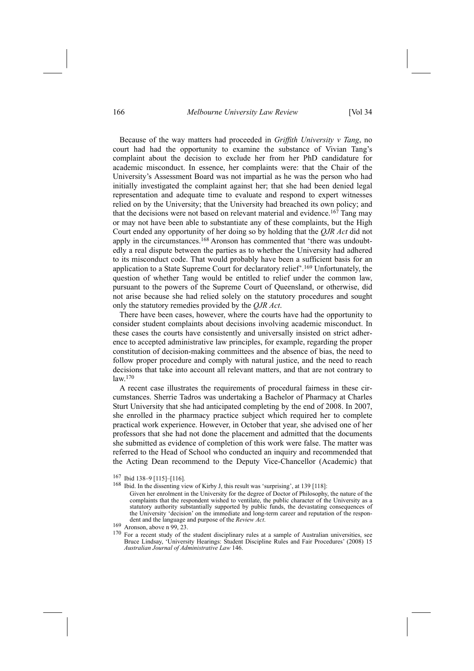### 166 *Melbourne University Law Review* [Vol 34

Because of the way matters had proceeded in *Griffith University v Tang*, no court had had the opportunity to examine the substance of Vivian Tang's complaint about the decision to exclude her from her PhD candidature for academic misconduct. In essence, her complaints were: that the Chair of the University's Assessment Board was not impartial as he was the person who had initially investigated the complaint against her; that she had been denied legal representation and adequate time to evaluate and respond to expert witnesses relied on by the University; that the University had breached its own policy; and that the decisions were not based on relevant material and evidence.<sup>167</sup> Tang may or may not have been able to substantiate any of these complaints, but the High Court ended any opportunity of her doing so by holding that the *QJR Act* did not apply in the circumstances.<sup>168</sup> Aronson has commented that 'there was undoubtedly a real dispute between the parties as to whether the University had adhered to its misconduct code. That would probably have been a sufficient basis for an application to a State Supreme Court for declaratory relief'.169 Unfortunately, the question of whether Tang would be entitled to relief under the common law, pursuant to the powers of the Supreme Court of Queensland, or otherwise, did not arise because she had relied solely on the statutory procedures and sought only the statutory remedies provided by the *QJR Act*.

There have been cases, however, where the courts have had the opportunity to consider student complaints about decisions involving academic misconduct. In these cases the courts have consistently and universally insisted on strict adherence to accepted administrative law principles, for example, regarding the proper constitution of decision-making committees and the absence of bias, the need to follow proper procedure and comply with natural justice, and the need to reach decisions that take into account all relevant matters, and that are not contrary to law.170

A recent case illustrates the requirements of procedural fairness in these circumstances. Sherrie Tadros was undertaking a Bachelor of Pharmacy at Charles Sturt University that she had anticipated completing by the end of 2008. In 2007, she enrolled in the pharmacy practice subject which required her to complete practical work experience. However, in October that year, she advised one of her professors that she had not done the placement and admitted that the documents she submitted as evidence of completion of this work were false. The matter was referred to the Head of School who conducted an inquiry and recommended that the Acting Dean recommend to the Deputy Vice-Chancellor (Academic) that

<sup>167</sup> Ibid 138–9 [115]–[116].

<sup>168</sup> Ibid. In the dissenting view of Kirby J, this result was 'surprising', at 139 [118]:

Given her enrolment in the University for the degree of Doctor of Philosophy, the nature of the complaints that the respondent wished to ventilate, the public character of the University as a statutory authority substantially supported by public funds, the devastating consequences of the University 'decision' on the immediate and long-term career and reputation of the respondent and the language and purpose of the *Review Act*. 169 Aronson, above n 99, 23.

<sup>&</sup>lt;sup>170</sup> For a recent study of the student disciplinary rules at a sample of Australian universities, see Bruce Lindsay, 'University Hearings: Student Discipline Rules and Fair Procedures' (2008) 15 *Australian Journal of Administrative Law* 146.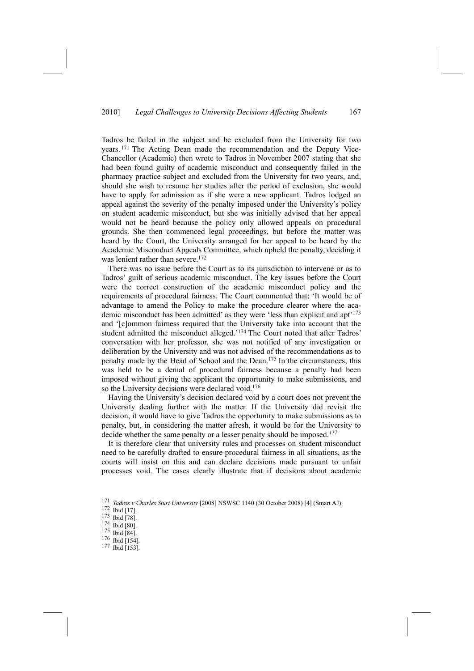Tadros be failed in the subject and be excluded from the University for two years. 171 The Acting Dean made the recommendation and the Deputy Vice-Chancellor (Academic) then wrote to Tadros in November 2007 stating that she had been found guilty of academic misconduct and consequently failed in the pharmacy practice subject and excluded from the University for two years, and, should she wish to resume her studies after the period of exclusion, she would have to apply for admission as if she were a new applicant. Tadros lodged an appeal against the severity of the penalty imposed under the University's policy on student academic misconduct, but she was initially advised that her appeal would not be heard because the policy only allowed appeals on procedural grounds. She then commenced legal proceedings, but before the matter was heard by the Court, the University arranged for her appeal to be heard by the Academic Misconduct Appeals Committee, which upheld the penalty, deciding it was lenient rather than severe.<sup>172</sup>

There was no issue before the Court as to its jurisdiction to intervene or as to Tadros' guilt of serious academic misconduct. The key issues before the Court were the correct construction of the academic misconduct policy and the requirements of procedural fairness. The Court commented that: 'It would be of advantage to amend the Policy to make the procedure clearer where the academic misconduct has been admitted' as they were 'less than explicit and apt'173 and '[c]ommon fairness required that the University take into account that the student admitted the misconduct alleged.'174 The Court noted that after Tadros' conversation with her professor, she was not notified of any investigation or deliberation by the University and was not advised of the recommendations as to penalty made by the Head of School and the Dean.175 In the circumstances, this was held to be a denial of procedural fairness because a penalty had been imposed without giving the applicant the opportunity to make submissions, and so the University decisions were declared void.<sup>176</sup>

Having the University's decision declared void by a court does not prevent the University dealing further with the matter. If the University did revisit the decision, it would have to give Tadros the opportunity to make submissions as to penalty, but, in considering the matter afresh, it would be for the University to decide whether the same penalty or a lesser penalty should be imposed.<sup>177</sup>

It is therefore clear that university rules and processes on student misconduct need to be carefully drafted to ensure procedural fairness in all situations, as the courts will insist on this and can declare decisions made pursuant to unfair processes void. The cases clearly illustrate that if decisions about academic

<sup>171</sup> *Tadros <sup>v</sup> Charles Sturt University* [2008] NSWSC 1140 (30 October 2008) [4] (Smart AJ). 172 Ibid [17].

<sup>173</sup> Ibid [78].

<sup>174</sup> Ibid [80].

<sup>175</sup> Ibid [84].

<sup>176</sup> Ibid [154].

<sup>177</sup> Ibid [153].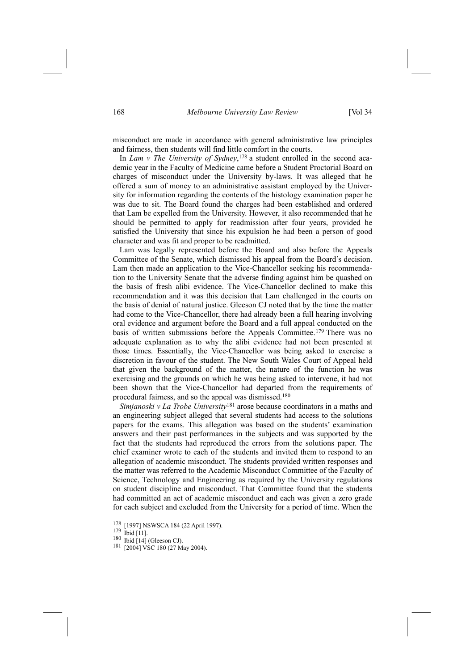misconduct are made in accordance with general administrative law principles and fairness, then students will find little comfort in the courts.

In *Lam v The University of Sydney*, 178 a student enrolled in the second academic year in the Faculty of Medicine came before a Student Proctorial Board on charges of misconduct under the University by-laws. It was alleged that he offered a sum of money to an administrative assistant employed by the University for information regarding the contents of the histology examination paper he was due to sit. The Board found the charges had been established and ordered that Lam be expelled from the University. However, it also recommended that he should be permitted to apply for readmission after four years, provided he satisfied the University that since his expulsion he had been a person of good character and was fit and proper to be readmitted.

Lam was legally represented before the Board and also before the Appeals Committee of the Senate, which dismissed his appeal from the Board's decision. Lam then made an application to the Vice-Chancellor seeking his recommendation to the University Senate that the adverse finding against him be quashed on the basis of fresh alibi evidence. The Vice-Chancellor declined to make this recommendation and it was this decision that Lam challenged in the courts on the basis of denial of natural justice. Gleeson CJ noted that by the time the matter had come to the Vice-Chancellor, there had already been a full hearing involving oral evidence and argument before the Board and a full appeal conducted on the basis of written submissions before the Appeals Committee.<sup>179</sup> There was no adequate explanation as to why the alibi evidence had not been presented at those times. Essentially, the Vice-Chancellor was being asked to exercise a discretion in favour of the student. The New South Wales Court of Appeal held that given the background of the matter, the nature of the function he was exercising and the grounds on which he was being asked to intervene, it had not been shown that the Vice-Chancellor had departed from the requirements of procedural fairness, and so the appeal was dismissed.180

*Simjanoski v La Trobe University*181 arose because coordinators in a maths and an engineering subject alleged that several students had access to the solutions papers for the exams. This allegation was based on the students' examination answers and their past performances in the subjects and was supported by the fact that the students had reproduced the errors from the solutions paper. The chief examiner wrote to each of the students and invited them to respond to an allegation of academic misconduct. The students provided written responses and the matter was referred to the Academic Misconduct Committee of the Faculty of Science, Technology and Engineering as required by the University regulations on student discipline and misconduct. That Committee found that the students had committed an act of academic misconduct and each was given a zero grade for each subject and excluded from the University for a period of time. When the

- 178 [1997] NSWSCA 184 (22 April 1997)<br><sup>179</sup> Ibid [11].<br><sup>180</sup> Ibid [14] (Gleeson CJ).
- 
- 
- <sup>181</sup> [2004] VSC 180 (27 May 2004).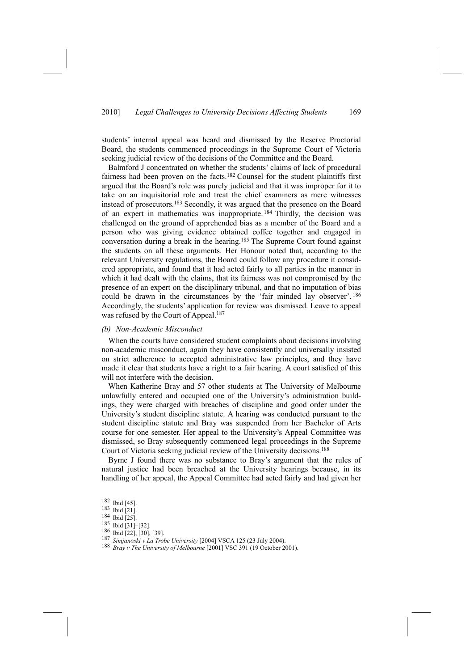students' internal appeal was heard and dismissed by the Reserve Proctorial Board, the students commenced proceedings in the Supreme Court of Victoria seeking judicial review of the decisions of the Committee and the Board.

Balmford J concentrated on whether the students' claims of lack of procedural fairness had been proven on the facts.182 Counsel for the student plaintiffs first argued that the Board's role was purely judicial and that it was improper for it to take on an inquisitorial role and treat the chief examiners as mere witnesses instead of prosecutors.183 Secondly, it was argued that the presence on the Board of an expert in mathematics was inappropriate. 184 Thirdly, the decision was challenged on the ground of apprehended bias as a member of the Board and a person who was giving evidence obtained coffee together and engaged in conversation during a break in the hearing.185 The Supreme Court found against the students on all these arguments. Her Honour noted that, according to the relevant University regulations, the Board could follow any procedure it considered appropriate, and found that it had acted fairly to all parties in the manner in which it had dealt with the claims, that its fairness was not compromised by the presence of an expert on the disciplinary tribunal, and that no imputation of bias could be drawn in the circumstances by the 'fair minded lay observer'. <sup>186</sup> Accordingly, the students' application for review was dismissed. Leave to appeal was refused by the Court of Appeal.<sup>187</sup>

#### *(b) Non-Academic Misconduct*

When the courts have considered student complaints about decisions involving non-academic misconduct, again they have consistently and universally insisted on strict adherence to accepted administrative law principles, and they have made it clear that students have a right to a fair hearing. A court satisfied of this will not interfere with the decision.

When Katherine Bray and 57 other students at The University of Melbourne unlawfully entered and occupied one of the University's administration buildings, they were charged with breaches of discipline and good order under the University's student discipline statute. A hearing was conducted pursuant to the student discipline statute and Bray was suspended from her Bachelor of Arts course for one semester. Her appeal to the University's Appeal Committee was dismissed, so Bray subsequently commenced legal proceedings in the Supreme Court of Victoria seeking judicial review of the University decisions.188

Byrne J found there was no substance to Bray's argument that the rules of natural justice had been breached at the University hearings because, in its handling of her appeal, the Appeal Committee had acted fairly and had given her

<sup>182</sup> Ibid [45].

<sup>183</sup> Ibid [21].

<sup>184</sup> Ibid [25].

<sup>185</sup> Ibid [31]–[32].

<sup>186</sup> Ibid [22], [30], [39].

<sup>187</sup> *Simjanoski <sup>v</sup> La Trobe University* [2004] VSCA 125 (23 July 2004). 188 *Bray <sup>v</sup> The University of Melbourne* [2001] VSC 391 (19 October 2001).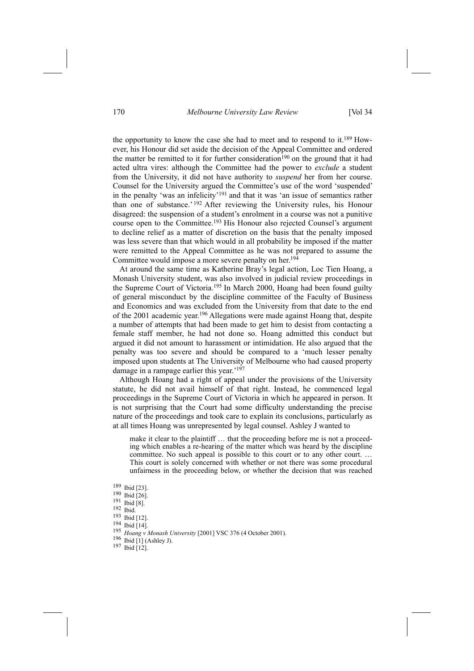## 170 *Melbourne University Law Review* [Vol 34

the opportunity to know the case she had to meet and to respond to it.189 However, his Honour did set aside the decision of the Appeal Committee and ordered the matter be remitted to it for further consideration<sup>190</sup> on the ground that it had acted ultra vires: although the Committee had the power to *exclude* a student from the University, it did not have authority to *suspend* her from her course. Counsel for the University argued the Committee's use of the word 'suspended' in the penalty 'was an infelicity'191 and that it was 'an issue of semantics rather than one of substance.' 192 After reviewing the University rules, his Honour disagreed: the suspension of a student's enrolment in a course was not a punitive course open to the Committee.193 His Honour also rejected Counsel's argument to decline relief as a matter of discretion on the basis that the penalty imposed was less severe than that which would in all probability be imposed if the matter were remitted to the Appeal Committee as he was not prepared to assume the Committee would impose a more severe penalty on her.<sup>194</sup>

At around the same time as Katherine Bray's legal action, Loc Tien Hoang, a Monash University student, was also involved in judicial review proceedings in the Supreme Court of Victoria.195 In March 2000, Hoang had been found guilty of general misconduct by the discipline committee of the Faculty of Business and Economics and was excluded from the University from that date to the end of the 2001 academic year.196 Allegations were made against Hoang that, despite a number of attempts that had been made to get him to desist from contacting a female staff member, he had not done so. Hoang admitted this conduct but argued it did not amount to harassment or intimidation. He also argued that the penalty was too severe and should be compared to a 'much lesser penalty imposed upon students at The University of Melbourne who had caused property damage in a rampage earlier this year.'<sup>197</sup>

Although Hoang had a right of appeal under the provisions of the University statute, he did not avail himself of that right. Instead, he commenced legal proceedings in the Supreme Court of Victoria in which he appeared in person. It is not surprising that the Court had some difficulty understanding the precise nature of the proceedings and took care to explain its conclusions, particularly as at all times Hoang was unrepresented by legal counsel. Ashley J wanted to

make it clear to the plaintiff … that the proceeding before me is not a proceeding which enables a re-hearing of the matter which was heard by the discipline committee. No such appeal is possible to this court or to any other court. ... This court is solely concerned with whether or not there was some procedural unfairness in the proceeding below, or whether the decision that was reached

- 189 Ibid [23].
- 190 Ibid [26].
- 191 Ibid [8].
- 192 Ibid.
- 193 Ibid [12].
- 194 Ibid [14].
- <sup>195</sup> *Hoang <sup>v</sup> Monash University* [2001] VSC 376 (4 October 2001). 196 Ibid [1] (Ashley J). 197 Ibid [12].
- 
-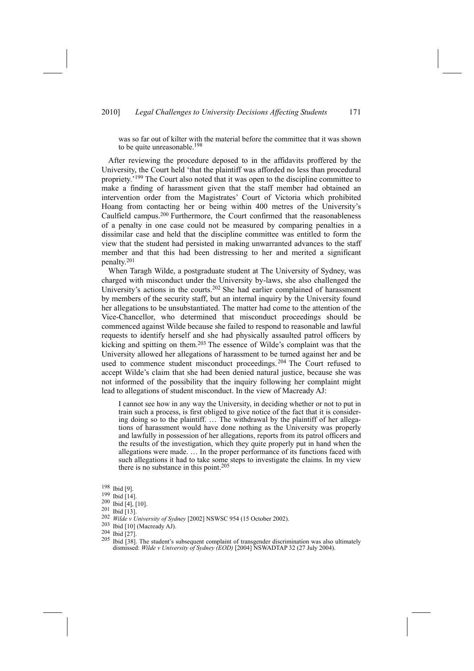## 2010] *Legal Challenges to University Decisions Affecting Students* 171

was so far out of kilter with the material before the committee that it was shown to be quite unreasonable.<sup>198</sup>

After reviewing the procedure deposed to in the affidavits proffered by the University, the Court held 'that the plaintiff was afforded no less than procedural propriety.'199 The Court also noted that it was open to the discipline committee to make a finding of harassment given that the staff member had obtained an intervention order from the Magistrates' Court of Victoria which prohibited Hoang from contacting her or being within 400 metres of the University's Caulfield campus.200 Furthermore, the Court confirmed that the reasonableness of a penalty in one case could not be measured by comparing penalties in a dissimilar case and held that the discipline committee was entitled to form the view that the student had persisted in making unwarranted advances to the staff member and that this had been distressing to her and merited a significant penalty.201

When Taragh Wilde, a postgraduate student at The University of Sydney, was charged with misconduct under the University by-laws, she also challenged the University's actions in the courts.202 She had earlier complained of harassment by members of the security staff, but an internal inquiry by the University found her allegations to be unsubstantiated. The matter had come to the attention of the Vice-Chancellor, who determined that misconduct proceedings should be commenced against Wilde because she failed to respond to reasonable and lawful requests to identify herself and she had physically assaulted patrol officers by kicking and spitting on them.203 The essence of Wilde's complaint was that the University allowed her allegations of harassment to be turned against her and be used to commence student misconduct proceedings. 204 The Court refused to accept Wilde's claim that she had been denied natural justice, because she was not informed of the possibility that the inquiry following her complaint might lead to allegations of student misconduct. In the view of Macready AJ:

I cannot see how in any way the University, in deciding whether or not to put in train such a process, is first obliged to give notice of the fact that it is considering doing so to the plaintiff. … The withdrawal by the plaintiff of her allegations of harassment would have done nothing as the University was properly and lawfully in possession of her allegations, reports from its patrol officers and the results of the investigation, which they quite properly put in hand when the allegations were made. … In the proper performance of its functions faced with such allegations it had to take some steps to investigate the claims. In my view there is no substance in this point.205

198 Ibid [9].

- 199 Ibid [14].
- 200 Ibid [4], [10].
- 201 Ibid [13].
- 202 *Wilde v University of Sydney* [2002] NSWSC 954 (15 October 2002).<br>
203 Ibid [10] (Macready AJ).<br>
204 Ibid [27].<br>
205 Ibid [27]. The student's subsequent completed of transporter discriments
- 
- 

<sup>205</sup> Ibid [38]. The student's subsequent complaint of transgender discrimination was also ultimately dismissed: *Wilde v University of Sydney (EOD)* [2004] NSWADTAP 32 (27 July 2004).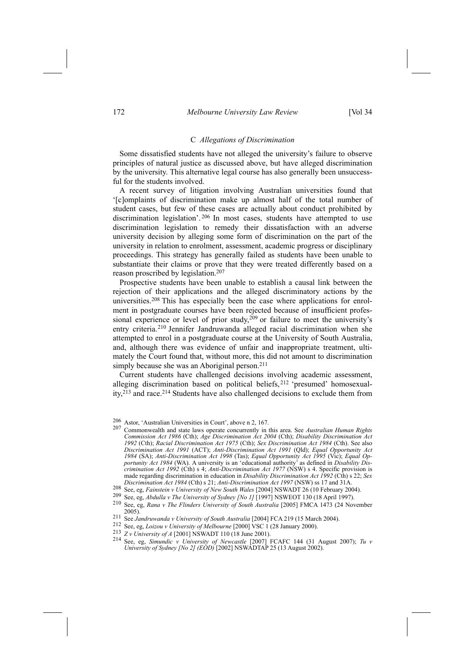## 172 *Melbourne University Law Review* [Vol 34

#### C *Allegations of Discrimination*

Some dissatisfied students have not alleged the university's failure to observe principles of natural justice as discussed above, but have alleged discrimination by the university. This alternative legal course has also generally been unsuccessful for the students involved.

A recent survey of litigation involving Australian universities found that '[c]omplaints of discrimination make up almost half of the total number of student cases, but few of these cases are actually about conduct prohibited by discrimination legislation'. 206 In most cases, students have attempted to use discrimination legislation to remedy their dissatisfaction with an adverse university decision by alleging some form of discrimination on the part of the university in relation to enrolment, assessment, academic progress or disciplinary proceedings. This strategy has generally failed as students have been unable to substantiate their claims or prove that they were treated differently based on a reason proscribed by legislation.207

Prospective students have been unable to establish a causal link between the rejection of their applications and the alleged discriminatory actions by the universities.208 This has especially been the case where applications for enrolment in postgraduate courses have been rejected because of insufficient professional experience or level of prior study,<sup>209</sup> or failure to meet the university's entry criteria.210 Jennifer Jandruwanda alleged racial discrimination when she attempted to enrol in a postgraduate course at the University of South Australia, and, although there was evidence of unfair and inappropriate treatment, ultimately the Court found that, without more, this did not amount to discrimination simply because she was an Aboriginal person.<sup>211</sup>

Current students have challenged decisions involving academic assessment, alleging discrimination based on political beliefs, 212 'presumed' homosexuality,213 and race.214 Students have also challenged decisions to exclude them from

<sup>206</sup> Astor, 'Australian Universities in Court', above n 2, 167.<br>207 Communication and state laws apparent sonormantly in

<sup>207</sup> Commonwealth and state laws operate concurrently in this area. See *Australian Human Rights Commission Act 1986* (Cth); *Age Discrimination Act 2004* (Cth); *Disability Discrimination Act 1992* (Cth); *Racial Discrimination Act 1975* (Cth); *Sex Discrimination Act 1984* (Cth). See also *Discrimination Act 1991* (ACT); *Anti-Discrimination Act 1991* (Qld); *Equal Opportunity Act 1984* (SA); *Anti-Discrimination Act 1998* (Tas); *Equal Opportunity Act 1995* (Vic); *Equal Opportunity Act 1984* (WA). A university is an 'educational authority' as defined in *Disability Discrimination Act 1992* (Cth) s 4; *Anti-Discrimination Act 1977* (NSW) s 4. Specific provision is made regarding discrimination in education in *Disability Discrimination Act 1992* (Cth) s 22; *Sex*

<sup>208</sup> See, eg, Fainstein v University of New South Wales [2004] NSWADT 26 (10 February 2004).<br>
209 See, eg, Abdulla v The University of Sydney [No 1] [1997] NSWEOT 130 (18 April 1997).<br>
210 See, eg, Rana v The Flinders Unive

<sup>211</sup> See Jandruwanda v University of South Australia [2004] FCA 219 (15 March 2004).<br>
212 See, eg, Loizou v University of Melbourne [2000] VSC 1 (28 January 2000).<br>
21 Z v University of A [2001] NSWADT 110 (18 June 2001).<br>

See, eg, *Simundic v University of Newcastle* [2007] FCAFC 144 (31 August 2007); *Tu v University of Sydney [No 2] (EOD)* [2002] NSWADTAP 25 (13 August 2002).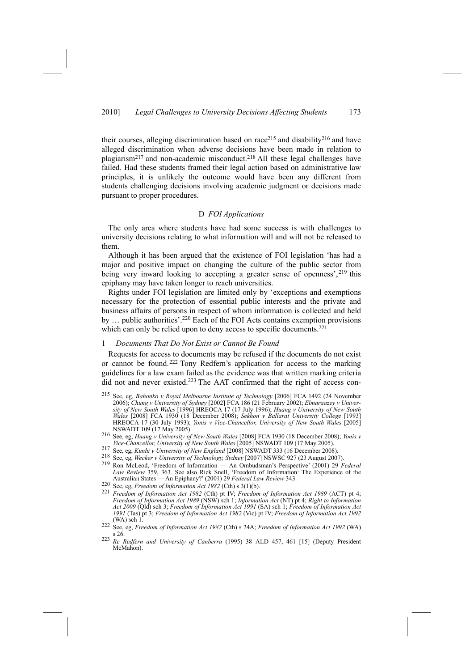their courses, alleging discrimination based on race<sup>215</sup> and disability<sup>216</sup> and have alleged discrimination when adverse decisions have been made in relation to plagiarism<sup>217</sup> and non-academic misconduct.<sup>218</sup> All these legal challenges have failed. Had these students framed their legal action based on administrative law principles, it is unlikely the outcome would have been any different from students challenging decisions involving academic judgment or decisions made pursuant to proper procedures.

## D *FOI Applications*

The only area where students have had some success is with challenges to university decisions relating to what information will and will not be released to them.

Although it has been argued that the existence of FOI legislation 'has had a major and positive impact on changing the culture of the public sector from being very inward looking to accepting a greater sense of openness',<sup>219</sup> this epiphany may have taken longer to reach universities.

Rights under FOI legislation are limited only by 'exceptions and exemptions necessary for the protection of essential public interests and the private and business affairs of persons in respect of whom information is collected and held by … public authorities'.220 Each of the FOI Acts contains exemption provisions which can only be relied upon to deny access to specific documents.<sup>221</sup>

## 1 *Documents That Do Not Exist or Cannot Be Found*

Requests for access to documents may be refused if the documents do not exist or cannot be found.222 Tony Redfern's application for access to the marking guidelines for a law exam failed as the evidence was that written marking criteria did not and never existed.<sup>223</sup> The AAT confirmed that the right of access con-

- 215 See, eg, *Bahonko v Royal Melbourne Institute of Technology* [2006] FCA 1492 (24 November 2006); *Chung v University of Sydney* [2002] FCA 186 (21 February 2002); *Elmaraazey v University of New South Wales* [1996] HREOCA 17 (17 July 1996); *Huang v University of New South Wales* [2008] FCA 1930 (18 December 2008); *Sekhon v Ballarat University College* [1993] HREOCA 17 (30 July 1993); *Yonis v Vice-Chancellor, University of New South Wales* [2005]
- NSWADT 109 (17 May 2005). 216 See, eg, *Huang <sup>v</sup> University of New South Wales* [2008] FCA 1930 (18 December 2008); *Yonis <sup>v</sup>*
- 217 See, eg, Kunhi v University of New England [2008] NSWADT 333 (16 December 2008).<br>218 See, eg, Wecker v University of Technology, Sydney [2007] NSWSC 927 (23 August 2007).
- 
- **Law Review 359, 363. See also Rick Snell, 'Freedom of Information** An Ombudsman's Perspective' (2001) 29 Federal<br>*Law Review* 359, 363. See also Rick Snell, 'Freedom of Information: The Experience of the<br>antarion String Australian States — An Epiphany?' (2001) 29 *Federal Law Review* 343.<br>
220 See, eg, *Freedom of Information Act 1982* (Cth) s 3(1)(b).
- 
- <sup>221</sup> Freedom of Information Act 1982 (Cth) pt IV; Freedom of Information Act 1989 (ACT) pt 4; *Freedom of Information Act 1989* (NSW) sch 1; *Information Act* (NT) pt 4; *Right to Information Act 2009* (Qld) sch 3; *Freedom of Information Act 1991* (SA) sch 1; *Freedom of Information Act 1991* (Tas) pt 3; *Freedom of Information Act 1982* (Vic) pt IV; *Freedom of Information Act 1992*
- (WA) sch 1. 222 See, eg, *Freedom of Information Act <sup>1982</sup>* (Cth) s 24A; *Freedom of Information Act <sup>1992</sup>* (WA) s 26.
- <sup>223</sup> *Re Redfern and University of Canberra* (1995) 38 ALD 457, 461 [15] (Deputy President McMahon)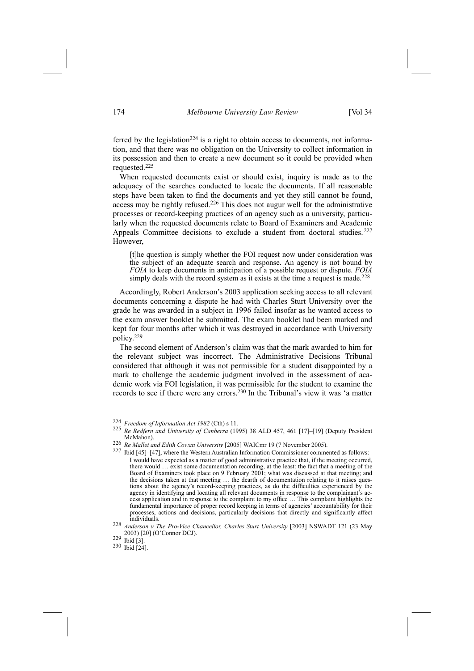ferred by the legislation<sup>224</sup> is a right to obtain access to documents, not information, and that there was no obligation on the University to collect information in its possession and then to create a new document so it could be provided when requested.225

When requested documents exist or should exist, inquiry is made as to the adequacy of the searches conducted to locate the documents. If all reasonable steps have been taken to find the documents and yet they still cannot be found, access may be rightly refused.226 This does not augur well for the administrative processes or record-keeping practices of an agency such as a university, particularly when the requested documents relate to Board of Examiners and Academic Appeals Committee decisions to exclude a student from doctoral studies.<sup>227</sup> However,

[t]he question is simply whether the FOI request now under consideration was the subject of an adequate search and response. An agency is not bound by *FOIA* to keep documents in anticipation of a possible request or dispute. *FOIA* simply deals with the record system as it exists at the time a request is made.<sup>228</sup>

Accordingly, Robert Anderson's 2003 application seeking access to all relevant documents concerning a dispute he had with Charles Sturt University over the grade he was awarded in a subject in 1996 failed insofar as he wanted access to the exam answer booklet he submitted. The exam booklet had been marked and kept for four months after which it was destroyed in accordance with University policy.229

The second element of Anderson's claim was that the mark awarded to him for the relevant subject was incorrect. The Administrative Decisions Tribunal considered that although it was not permissible for a student disappointed by a mark to challenge the academic judgment involved in the assessment of academic work via FOI legislation, it was permissible for the student to examine the records to see if there were any errors.230 In the Tribunal's view it was 'a matter

<sup>224</sup> *Freedom of Information Act <sup>1982</sup>* (Cth) s 11. 225 *Re Redfern and University of Canberra* (1995) 38 ALD 457, 461 [17]–[19] (Deputy President McMahon).<br><sup>226</sup> *Re Mallet and Edith Cowan University* [2005] WAICmr 19 (7 November 2005).<br><sup>227</sup> Ibid [45]–[47], where the Western Australian Information Commissioner commented as follows:

I would have expected as a matter of good administrative practice that, if the meeting occurred, there would … exist some documentation recording, at the least: the fact that a meeting of the Board of Examiners took place on 9 February 2001; what was discussed at that meeting; and the decisions taken at that meeting … the dearth of documentation relating to it raises questions about the agency's record-keeping practices, as do the difficulties experienced by the agency in identifying and locating all relevant documents in response to the complainant's access application and in response to the complaint to my office … This complaint highlights the fundamental importance of proper record keeping in terms of agencies' accountability for their processes, actions and decisions, particularly decisions that directly and significantly affect individuals.

<sup>228</sup> *Anderson v The Pro-Vice Chancellor, Charles Sturt University* [2003] NSWADT 121 (23 May 2003) [20] (O'Connor DCJ). 229 Ibid [3].

<sup>230</sup> Ibid [24].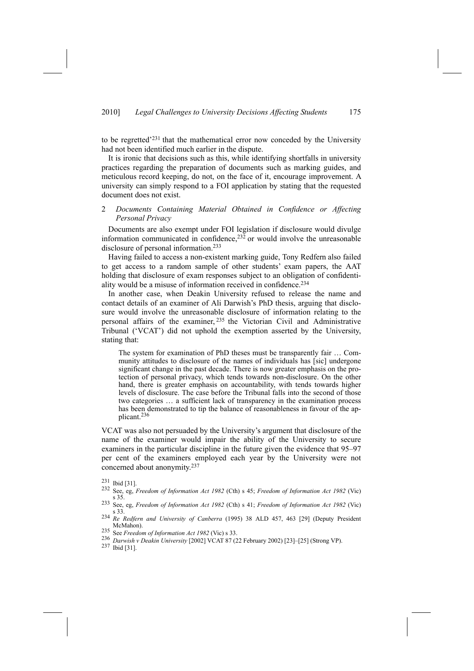to be regretted'231 that the mathematical error now conceded by the University had not been identified much earlier in the dispute.

It is ironic that decisions such as this, while identifying shortfalls in university practices regarding the preparation of documents such as marking guides, and meticulous record keeping, do not, on the face of it, encourage improvement. A university can simply respond to a FOI application by stating that the requested document does not exist.

## 2 *Documents Containing Material Obtained in Confidence or Affecting Personal Privacy*

Documents are also exempt under FOI legislation if disclosure would divulge information communicated in confidence, $23\overline{2}$  or would involve the unreasonable disclosure of personal information.233

Having failed to access a non-existent marking guide, Tony Redfern also failed to get access to a random sample of other students' exam papers, the AAT holding that disclosure of exam responses subject to an obligation of confidentiality would be a misuse of information received in confidence.234

In another case, when Deakin University refused to release the name and contact details of an examiner of Ali Darwish's PhD thesis, arguing that disclosure would involve the unreasonable disclosure of information relating to the personal affairs of the examiner, 235 the Victorian Civil and Administrative Tribunal ('VCAT') did not uphold the exemption asserted by the University, stating that:

The system for examination of PhD theses must be transparently fair … Community attitudes to disclosure of the names of individuals has [sic] undergone significant change in the past decade. There is now greater emphasis on the protection of personal privacy, which tends towards non-disclosure. On the other hand, there is greater emphasis on accountability, with tends towards higher levels of disclosure. The case before the Tribunal falls into the second of those two categories … a sufficient lack of transparency in the examination process has been demonstrated to tip the balance of reasonableness in favour of the applicant.236

VCAT was also not persuaded by the University's argument that disclosure of the name of the examiner would impair the ability of the University to secure examiners in the particular discipline in the future given the evidence that 95–97 per cent of the examiners employed each year by the University were not concerned about anonymity.237

- 232 See, eg, *Freedom of Information Act 1982* (Cth) s 45; *Freedom of Information Act 1982* (Vic) s 35.
- 233 See, eg, *Freedom of Information Act 1982* (Cth) s 41; *Freedom of Information Act 1982* (Vic) s 33.
- <sup>234</sup> *Re Redfern and University of Canberra* (1995) 38 ALD 457, 463 [29] (Deputy President
- 
- <sup>235</sup> See *Freedom of Information Act 1982* (Vic) s 33.<br><sup>236</sup> *Darwish v Deakin University* [2002] VCAT 87 (22 February 2002) [23]-[25] (Strong VP).<br><sup>237</sup> Ibid [31].
- 

<sup>231</sup> Ibid [31].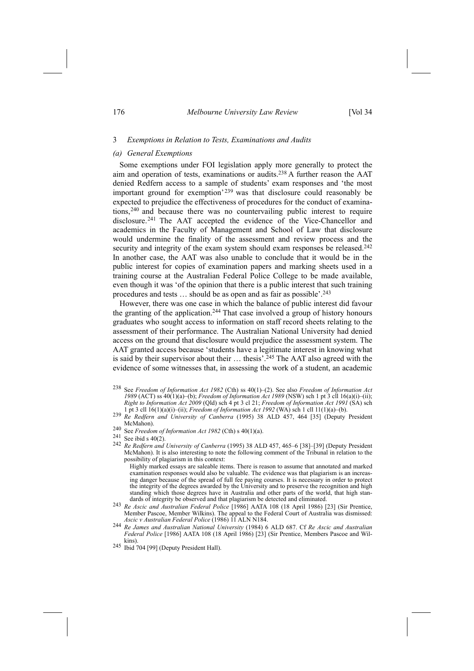## 176 *Melbourne University Law Review* [Vol 34

#### 3 *Exemptions in Relation to Tests, Examinations and Audits*

## *(a) General Exemptions*

Some exemptions under FOI legislation apply more generally to protect the aim and operation of tests, examinations or audits.238 A further reason the AAT denied Redfern access to a sample of students' exam responses and 'the most important ground for exemption' <sup>239</sup> was that disclosure could reasonably be expected to prejudice the effectiveness of procedures for the conduct of examinations,240 and because there was no countervailing public interest to require disclosure.241 The AAT accepted the evidence of the Vice-Chancellor and academics in the Faculty of Management and School of Law that disclosure would undermine the finality of the assessment and review process and the security and integrity of the exam system should exam responses be released.<sup>242</sup> In another case, the AAT was also unable to conclude that it would be in the public interest for copies of examination papers and marking sheets used in a training course at the Australian Federal Police College to be made available, even though it was 'of the opinion that there is a public interest that such training procedures and tests … should be as open and as fair as possible'.243

However, there was one case in which the balance of public interest did favour the granting of the application.244 That case involved a group of history honours graduates who sought access to information on staff record sheets relating to the assessment of their performance. The Australian National University had denied access on the ground that disclosure would prejudice the assessment system. The AAT granted access because 'students have a legitimate interest in knowing what is said by their supervisor about their ... thesis'.<sup>245</sup> The AAT also agreed with the evidence of some witnesses that, in assessing the work of a student, an academic

- 238 See *Freedom of Information Act 1982* (Cth) ss 40(1)–(2). See also *Freedom of Information Act 1989* (ACT) ss 40(1)(a)–(b); *Freedom of Information Act 1989* (NSW) sch 1 pt 3 cll 16(a)(i)–(ii); *Right to Information Act 2009* (Qld) sch 4 pt 3 cl 21; *Freedom of Information Act 1991* (SA) sch
- <sup>239</sup> Re Redfern and University of Canberra (1995) 38 ALD 457, 464 [35] (Deputy President<br>McMahon)
- 

240 See Freedom of Information Act 1982 (Cth) s  $40(1)(a)$ .<br>
241 See ibid s  $40(2)$ .<br>
242 Re Redfern and University of Canberra (1995) 38 ALD 457, 465–6 [38]–[39] (Deputy President McMahon). It is also interesting to note the following comment of the Tribunal in relation to the possibility of plagiarism in this context:

Highly marked essays are saleable items. There is reason to assume that annotated and marked examination responses would also be valuable. The evidence was that plagiarism is an increasing danger because of the spread of full fee paying courses. It is necessary in order to protect the integrity of the degrees awarded by the University and to preserve the recognition and high standing which those degrees have in Australia and other parts of the world, that high stan-<br>dards of integrity be observed and that plagiarism be detected and eliminated.

- dards of integrity be observed and that plagiarism be detected and eliminated. <sup>243</sup> *Re Ascic and Australian Federal Police* [1986] AATA 108 (18 April 1986) [23] (Sir Prentice, Member Pascoe, Member Wilkins). The appeal to the Federal Court of Australia was dismissed:
- Ascic v Australian Federal Police (1986) 11 ALN N184.<br>244 Re James and Australian National University (1984) 6 ALD 687. Cf Re Ascic and Australian *Federal Police* [1986] AATA 108 (18 April 1986) [23] (Sir Prentice, Members Pascoe and Wilkins). 245 Ibid 704 [99] (Deputy President Hall).
-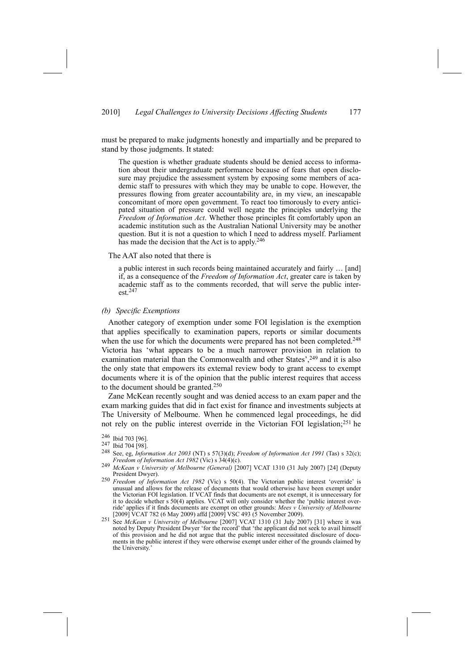must be prepared to make judgments honestly and impartially and be prepared to stand by those judgments. It stated:

The question is whether graduate students should be denied access to information about their undergraduate performance because of fears that open disclosure may prejudice the assessment system by exposing some members of academic staff to pressures with which they may be unable to cope. However, the pressures flowing from greater accountability are, in my view, an inescapable concomitant of more open government. To react too timorously to every anticipated situation of pressure could well negate the principles underlying the *Freedom of Information Act*. Whether those principles fit comfortably upon an academic institution such as the Australian National University may be another question. But it is not a question to which I need to address myself. Parliament has made the decision that the Act is to apply.<sup>246</sup>

#### The AAT also noted that there is

a public interest in such records being maintained accurately and fairly … [and] if, as a consequence of the *Freedom of Information Act*, greater care is taken by academic staff as to the comments recorded, that will serve the public interest.247

#### *(b) Specific Exemptions*

Another category of exemption under some FOI legislation is the exemption that applies specifically to examination papers, reports or similar documents when the use for which the documents were prepared has not been completed.<sup>248</sup> Victoria has 'what appears to be a much narrower provision in relation to examination material than the Commonwealth and other States', <sup>249</sup> and it is also the only state that empowers its external review body to grant access to exempt documents where it is of the opinion that the public interest requires that access to the document should be granted.250

Zane McKean recently sought and was denied access to an exam paper and the exam marking guides that did in fact exist for finance and investments subjects at The University of Melbourne. When he commenced legal proceedings, he did not rely on the public interest override in the Victorian FOI legislation;251 he

<sup>246</sup> Ibid 703 [96].

<sup>247</sup> Ibid 704 [98].

<sup>248</sup> See, eg, *Information Act 2003* (NT) s 57(3)(d); *Freedom of Information Act 1991* (Tas) s 32(c);

*Freedom of Information Act <sup>1982</sup>* (Vic) s 34(4)(c). 249 *McKean <sup>v</sup> University of Melbourne (General)* [2007] VCAT 1310 (31 July 2007) [24] (Deputy

<sup>&</sup>lt;sup>250</sup> *Freedom of Information Act 1982* (Vic) s 50(4). The Victorian public interest 'override' is unusual and allows for the release of documents that would otherwise have been exempt under the Victorian FOI legislation. If VCAT finds that documents are not exempt, it is unnecessary for it to decide whether s 50(4) applies. VCAT will only consider whether the 'public interest override' applies if it finds documents are exempt on other grounds: *Mees v University of Melbourne*

 $\frac{251 \text{ [2009]}}{\text{See } McKean}$  *v University of Melbourne* [2007] VCAT 1310 (31 July 2007) [31] where it was noted by Deputy President Dwyer 'for the record' that 'the applicant did not seek to avail himself of this provision and he did not argue that the public interest necessitated disclosure of documents in the public interest if they were otherwise exempt under either of the grounds claimed by the University.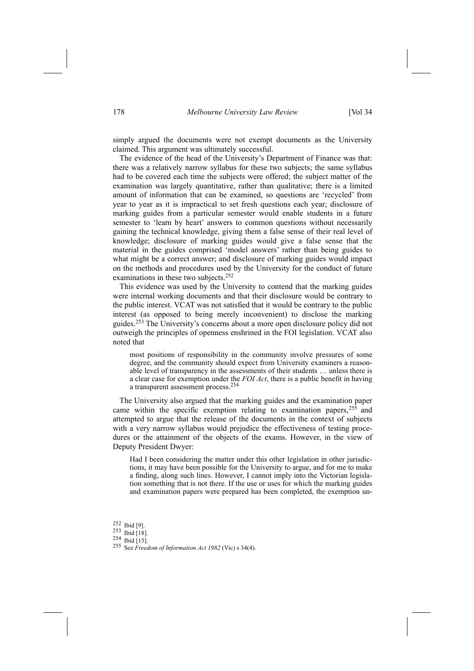simply argued the documents were not exempt documents as the University claimed. This argument was ultimately successful.

The evidence of the head of the University's Department of Finance was that: there was a relatively narrow syllabus for these two subjects; the same syllabus had to be covered each time the subjects were offered; the subject matter of the examination was largely quantitative, rather than qualitative; there is a limited amount of information that can be examined, so questions are 'recycled' from year to year as it is impractical to set fresh questions each year; disclosure of marking guides from a particular semester would enable students in a future semester to 'learn by heart' answers to common questions without necessarily gaining the technical knowledge, giving them a false sense of their real level of knowledge; disclosure of marking guides would give a false sense that the material in the guides comprised 'model answers' rather than being guides to what might be a correct answer; and disclosure of marking guides would impact on the methods and procedures used by the University for the conduct of future examinations in these two subjects.252

This evidence was used by the University to contend that the marking guides were internal working documents and that their disclosure would be contrary to the public interest. VCAT was not satisfied that it would be contrary to the public interest (as opposed to being merely inconvenient) to disclose the marking guides.253 The University's concerns about a more open disclosure policy did not outweigh the principles of openness enshrined in the FOI legislation. VCAT also noted that

most positions of responsibility in the community involve pressures of some degree, and the community should expect from University examiners a reasonable level of transparency in the assessments of their students … unless there is a clear case for exemption under the *FOI Act*, there is a public benefit in having a transparent assessment process.254

The University also argued that the marking guides and the examination paper came within the specific exemption relating to examination papers,255 and attempted to argue that the release of the documents in the context of subjects with a very narrow syllabus would prejudice the effectiveness of testing procedures or the attainment of the objects of the exams. However, in the view of Deputy President Dwyer:

Had I been considering the matter under this other legislation in other jurisdictions, it may have been possible for the University to argue, and for me to make a finding, along such lines. However, I cannot imply into the Victorian legislation something that is not there. If the use or uses for which the marking guides and examination papers were prepared has been completed, the exemption un-

<sup>252</sup> Ibid [9].

<sup>253</sup> Ibid [18].

<sup>254</sup> Ibid [15].

<sup>255</sup> See *Freedom of Information Act 1982* (Vic) s 34(4).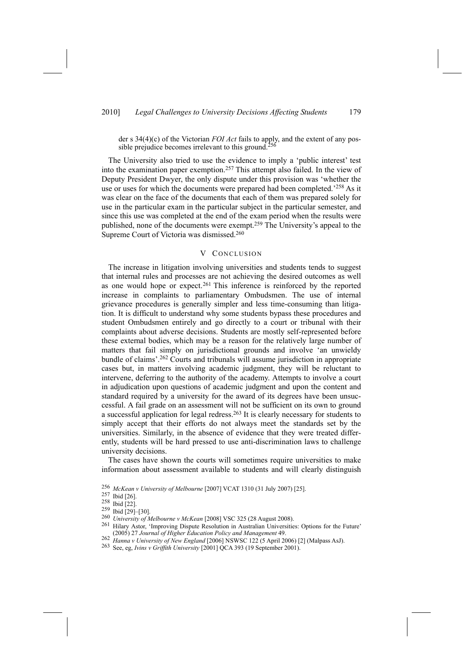der s 34(4)(c) of the Victorian *FOI Act* fails to apply, and the extent of any possible prejudice becomes irrelevant to this ground.<sup>256</sup>

The University also tried to use the evidence to imply a 'public interest' test into the examination paper exemption.257 This attempt also failed. In the view of Deputy President Dwyer, the only dispute under this provision was 'whether the use or uses for which the documents were prepared had been completed.'258 As it was clear on the face of the documents that each of them was prepared solely for use in the particular exam in the particular subject in the particular semester, and since this use was completed at the end of the exam period when the results were published, none of the documents were exempt.259 The University's appeal to the Supreme Court of Victoria was dismissed.260

## V CONCLUSION

The increase in litigation involving universities and students tends to suggest that internal rules and processes are not achieving the desired outcomes as well as one would hope or expect.<sup>261</sup> This inference is reinforced by the reported increase in complaints to parliamentary Ombudsmen. The use of internal grievance procedures is generally simpler and less time-consuming than litigation. It is difficult to understand why some students bypass these procedures and student Ombudsmen entirely and go directly to a court or tribunal with their complaints about adverse decisions. Students are mostly self-represented before these external bodies, which may be a reason for the relatively large number of matters that fail simply on jurisdictional grounds and involve 'an unwieldy bundle of claims'.262 Courts and tribunals will assume jurisdiction in appropriate cases but, in matters involving academic judgment, they will be reluctant to intervene, deferring to the authority of the academy. Attempts to involve a court in adjudication upon questions of academic judgment and upon the content and standard required by a university for the award of its degrees have been unsuccessful. A fail grade on an assessment will not be sufficient on its own to ground a successful application for legal redress.263 It is clearly necessary for students to simply accept that their efforts do not always meet the standards set by the universities. Similarly, in the absence of evidence that they were treated differently, students will be hard pressed to use anti-discrimination laws to challenge university decisions.

The cases have shown the courts will sometimes require universities to make information about assessment available to students and will clearly distinguish

- 259 Ibid [29]–[30].<br>
<sup>260</sup> *University of Melbourne v McKean* [2008] VSC 325 (28 August 2008).
- <sup>261</sup> Hilary Astor, 'Improving Dispute Resolution in Australian Universities: Options for the Future' (2005) 27 *Journal of Higher Education Policy and Management* 49.
- 262 Hanna v University of New England [2006] NSWSC 122 (5 April 2006) [2] (Malpass AsJ).<br><sup>263</sup> See, eg, *Ivins v Griffith University* [2001] QCA 393 (19 September 2001).
- 

<sup>256</sup> *McKean <sup>v</sup> University of Melbourne* [2007] VCAT 1310 (31 July 2007) [25]. 257 Ibid [26].

<sup>258</sup> Ibid [22].